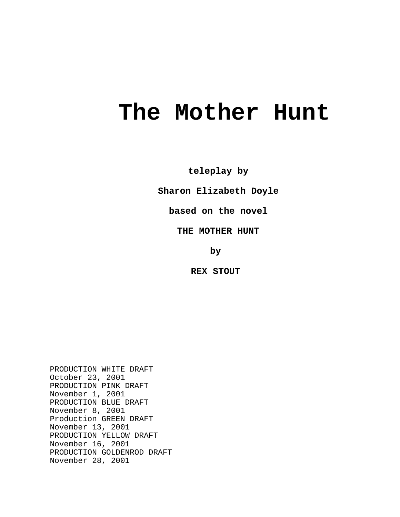# **The Mother Hunt**

**teleplay by**

**Sharon Elizabeth Doyle**

**based on the novel**

**THE MOTHER HUNT**

**by** 

**REX STOUT** 

PRODUCTION WHITE DRAFT October 23, 2001 PRODUCTION PINK DRAFT November 1, 2001 PRODUCTION BLUE DRAFT November 8, 2001 Production GREEN DRAFT November 13, 2001 PRODUCTION YELLOW DRAFT November 16, 2001 PRODUCTION GOLDENROD DRAFT November 28, 2001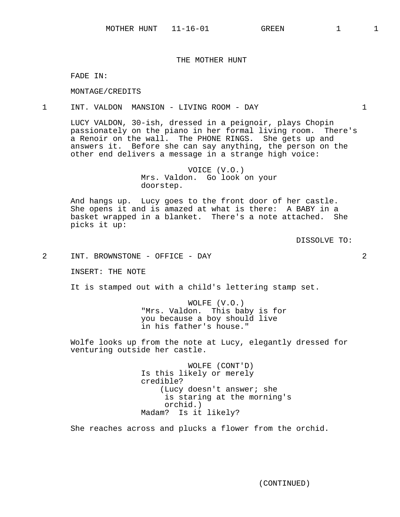# THE MOTHER HUNT

FADE IN:

MONTAGE/CREDITS

## 1 INT. VALDON MANSION - LIVING ROOM - DAY 1

LUCY VALDON, 30-ish, dressed in a peignoir, plays Chopin passionately on the piano in her formal living room. There's a Renoir on the wall. The PHONE RINGS. She gets up and answers it. Before she can say anything, the person on the other end delivers a message in a strange high voice:

> VOICE (V.O.) Mrs. Valdon. Go look on your doorstep.

And hangs up. Lucy goes to the front door of her castle. She opens it and is amazed at what is there: A BABY in a basket wrapped in a blanket. There's a note attached. She picks it up:

DISSOLVE TO:

2 INT. BROWNSTONE - OFFICE - DAY 2

INSERT: THE NOTE

It is stamped out with a child's lettering stamp set.

WOLFE (V.O.) "Mrs. Valdon. This baby is for you because a boy should live in his father's house."

Wolfe looks up from the note at Lucy, elegantly dressed for venturing outside her castle.

> WOLFE (CONT'D) Is this likely or merely credible? (Lucy doesn't answer; she is staring at the morning's orchid.) Madam? Is it likely?

She reaches across and plucks a flower from the orchid.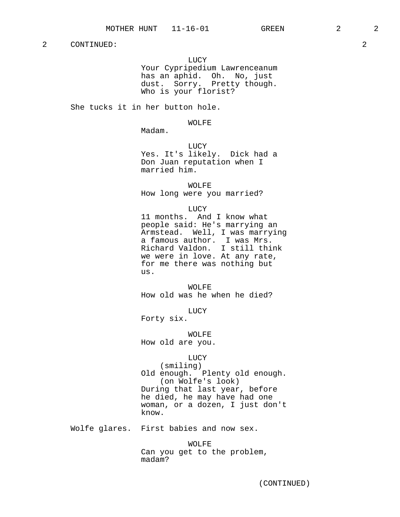LUCY

Your Cypripedium Lawrenceanum has an aphid. Oh. No, just dust. Sorry. Pretty though. Who is your florist?

She tucks it in her button hole.

WOLFE

Madam.

LUCY Yes. It's likely. Dick had a Don Juan reputation when I married him.

WOLFE How long were you married?

LUCY

11 months. And I know what people said: He's marrying an Armstead. Well, I was marrying a famous author. I was Mrs. Richard Valdon. I still think we were in love. At any rate, for me there was nothing but us.

WOLFE How old was he when he died?

LUCY

Forty six.

WOLFE How old are you.

LUCY

(smiling) Old enough. Plenty old enough. (on Wolfe's look) During that last year, before he died, he may have had one woman, or a dozen, I just don't know.

Wolfe glares. First babies and now sex.

WOLFE Can you get to the problem, madam?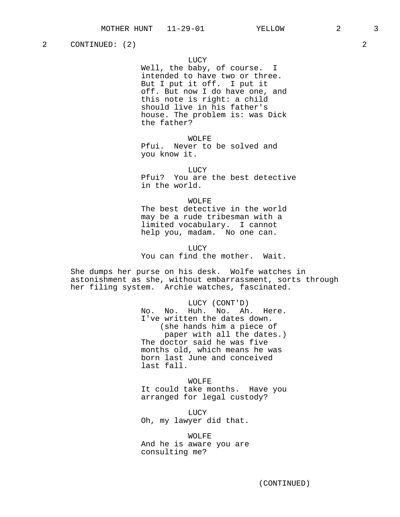2 CONTINUED: (2) 2

## LUCY

Well, the baby, of course. I intended to have two or three. But I put it off. I put it off. But now I do have one, and this note is right: a child should live in his father's house. The problem is: was Dick the father?

WOLFE Pfui. Never to be solved and you know it.

LUCY Pfui? You are the best detective in the world.

#### WOLFE

The best detective in the world may be a rude tribesman with a limited vocabulary. I cannot help you, madam. No one can.

LUCY You can find the mother. Wait.

She dumps her purse on his desk. Wolfe watches in astonishment as she, without embarrassment, sorts through her filing system. Archie watches, fascinated.

> LUCY (CONT'D) No. No. Huh. No. Ah. Here. I've written the dates down. (she hands him a piece of paper with all the dates.) The doctor said he was five months old, which means he was born last June and conceived last fall.

> WOLFE It could take months. Have you arranged for legal custody?

LUCY Oh, my lawyer did that.

WOLFE And he is aware you are consulting me?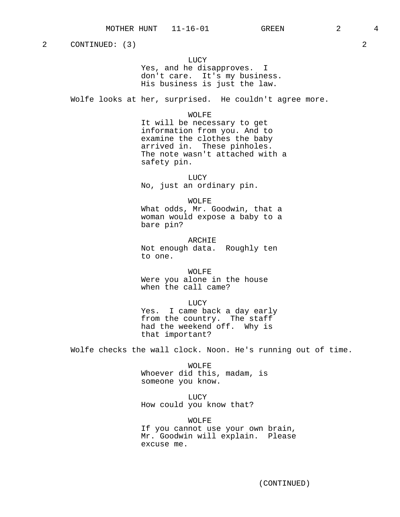2 CONTINUED: (3) 2

LUCY Yes, and he disapproves. I don't care. It's my business. His business is just the law.

Wolfe looks at her, surprised. He couldn't agree more.

WOLFE

It will be necessary to get information from you. And to examine the clothes the baby arrived in. These pinholes. The note wasn't attached with a safety pin.

LUCY No, just an ordinary pin.

WOLFE What odds, Mr. Goodwin, that a woman would expose a baby to a bare pin?

ARCHIE Not enough data. Roughly ten to one.

WOLFE Were you alone in the house when the call came?

LUCY Yes. I came back a day early from the country. The staff had the weekend off. Why is that important?

Wolfe checks the wall clock. Noon. He's running out of time.

WOLFE Whoever did this, madam, is someone you know.

LUCY How could you know that?

WOLFE If you cannot use your own brain, Mr. Goodwin will explain. Please excuse me.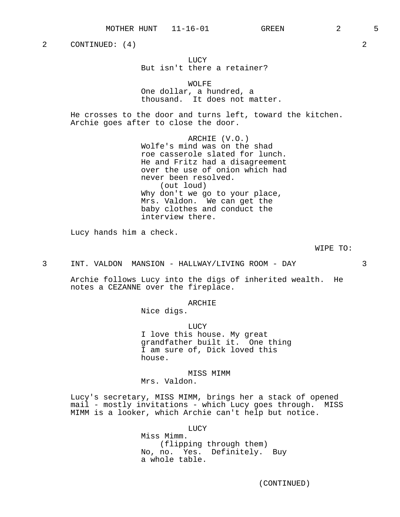2 CONTINUED: (4) 2

LUCY But isn't there a retainer?

WOLFE One dollar, a hundred, a thousand. It does not matter.

He crosses to the door and turns left, toward the kitchen. Archie goes after to close the door.

> ARCHIE (V.O.) Wolfe's mind was on the shad roe casserole slated for lunch. He and Fritz had a disagreement over the use of onion which had never been resolved. (out loud) Why don't we go to your place, Mrs. Valdon. We can get the baby clothes and conduct the interview there.

Lucy hands him a check.

WIPE TO:

3 INT. VALDON MANSION - HALLWAY/LIVING ROOM - DAY 3

Archie follows Lucy into the digs of inherited wealth. He notes a CEZANNE over the fireplace.

## ARCHIE

Nice digs.

LUCY I love this house. My great grandfather built it. One thing I am sure of, Dick loved this house.

# MISS MIMM

Mrs. Valdon.

Lucy's secretary, MISS MIMM, brings her a stack of opened mail - mostly invitations - which Lucy goes through. MISS MIMM is a looker, which Archie can't help but notice.

LUCY

Miss Mimm. (flipping through them) No, no. Yes. Definitely. Buy a whole table.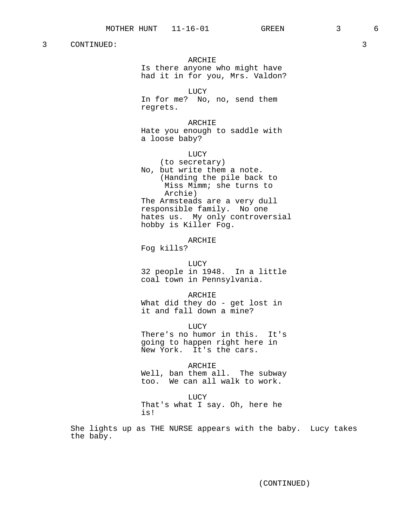ARCHIE Is there anyone who might have had it in for you, Mrs. Valdon? LUCY In for me? No, no, send them regrets. ARCHIE Hate you enough to saddle with a loose baby? LUCY (to secretary) No, but write them a note. (Handing the pile back to Miss Mimm; she turns to Archie) The Armsteads are a very dull responsible family. No one hates us. My only controversial hobby is Killer Fog. ARCHIE Fog kills? LUCY 32 people in 1948. In a little coal town in Pennsylvania. ARCHIE What did they do - get lost in it and fall down a mine? **LUCY** There's no humor in this. It's going to happen right here in New York. It's the cars. ARCHIE Well, ban them all. The subway

too. We can all walk to work.

LUCY

That's what I say. Oh, here he is!

She lights up as THE NURSE appears with the baby. Lucy takes the baby.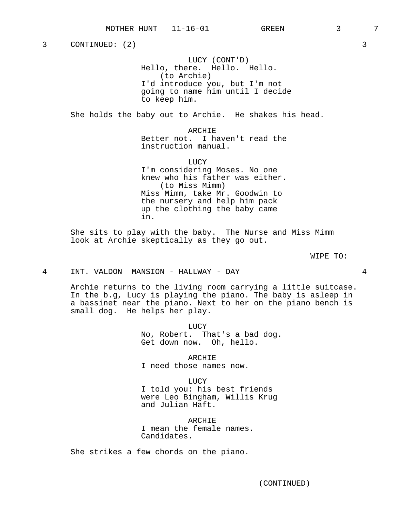3 CONTINUED: (2) 3

LUCY (CONT'D) Hello, there. Hello. Hello. (to Archie) I'd introduce you, but I'm not going to name him until I decide to keep him.

She holds the baby out to Archie. He shakes his head.

ARCHIE Better not. I haven't read the instruction manual.

**LUCY** I'm considering Moses. No one knew who his father was either. (to Miss Mimm) Miss Mimm, take Mr. Goodwin to the nursery and help him pack up the clothing the baby came in.

She sits to play with the baby. The Nurse and Miss Mimm look at Archie skeptically as they go out.

WIPE TO:

4 INT. VALDON MANSION - HALLWAY - DAY 4

Archie returns to the living room carrying a little suitcase. In the b.g, Lucy is playing the piano. The baby is asleep in a bassinet near the piano. Next to her on the piano bench is small dog. He helps her play.

> LUCY No, Robert. That's a bad dog. Get down now. Oh, hello.

ARCHIE I need those names now.

LUCY I told you: his best friends were Leo Bingham, Willis Krug and Julian Haft.

ARCHIE I mean the female names. Candidates.

She strikes a few chords on the piano.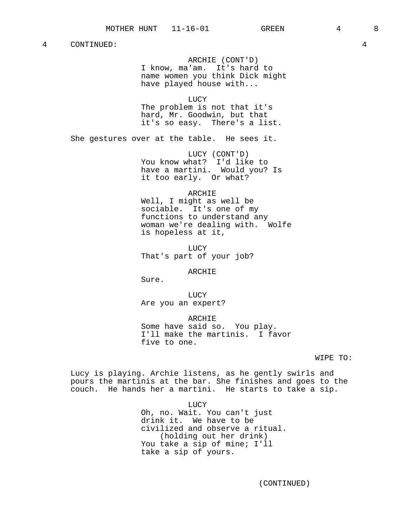ARCHIE (CONT'D)

I know, ma'am. It's hard to name women you think Dick might have played house with...

LUCY

The problem is not that it's hard, Mr. Goodwin, but that it's so easy. There's a list.

She gestures over at the table. He sees it.

LUCY (CONT'D) You know what? I'd like to have a martini. Would you? Is it too early. Or what?

#### ARCHIE

Well, I might as well be sociable. It's one of my functions to understand any woman we're dealing with. Wolfe is hopeless at it,

LUCY That's part of your job?

#### ARCHIE

Sure.

LUCY Are you an expert?

ARCHIE Some have said so. You play. I'll make the martinis. I favor five to one.

WIPE TO:

Lucy is playing. Archie listens, as he gently swirls and pours the martinis at the bar. She finishes and goes to the couch. He hands her a martini. He starts to take a sip.

LUCY

Oh, no. Wait. You can't just drink it. We have to be civilized and observe a ritual. (holding out her drink) You take a sip of mine; I'll take a sip of yours.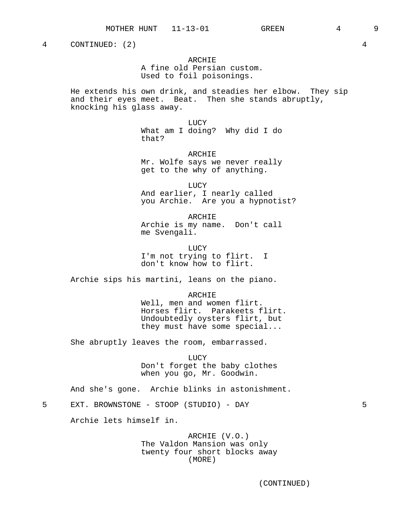4 CONTINUED: (2) 4

## ARCHIE

A fine old Persian custom. Used to foil poisonings.

He extends his own drink, and steadies her elbow. They sip and their eyes meet. Beat. Then she stands abruptly, knocking his glass away.

> LUCY What am I doing? Why did I do that?

> ARCHIE Mr. Wolfe says we never really get to the why of anything.

LUCY And earlier, I nearly called you Archie. Are you a hypnotist?

ARCHIE Archie is my name. Don't call me Svengali.

LUCY I'm not trying to flirt. I don't know how to flirt.

Archie sips his martini, leans on the piano.

ARCHIE Well, men and women flirt. Horses flirt. Parakeets flirt. Undoubtedly oysters flirt, but they must have some special...

She abruptly leaves the room, embarrassed.

LUCY Don't forget the baby clothes when you go, Mr. Goodwin.

And she's gone. Archie blinks in astonishment.

5 EXT. BROWNSTONE - STOOP (STUDIO) - DAY 5

Archie lets himself in.

ARCHIE (V.O.) The Valdon Mansion was only twenty four short blocks away (MORE)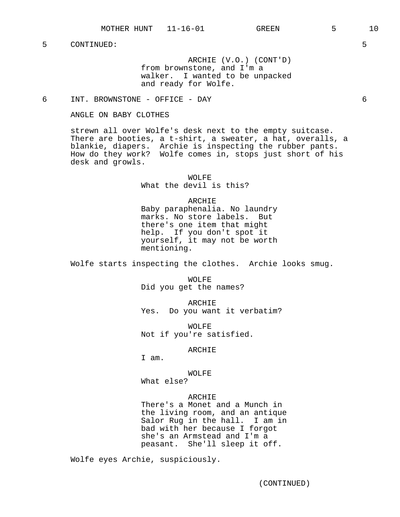ARCHIE (V.O.) (CONT'D) from brownstone, and I'm a walker. I wanted to be unpacked and ready for Wolfe.

# 6 INT. BROWNSTONE - OFFICE - DAY 6

ANGLE ON BABY CLOTHES

strewn all over Wolfe's desk next to the empty suitcase. There are booties, a t-shirt, a sweater, a hat, overalls, a blankie, diapers. Archie is inspecting the rubber pants. How do they work? Wolfe comes in, stops just short of his desk and growls.

> WOLFE What the devil is this?

> > ARCHIE

Baby paraphenalia. No laundry marks. No store labels. But there's one item that might help. If you don't spot it yourself, it may not be worth mentioning.

Wolfe starts inspecting the clothes. Archie looks smug.

WOLFE Did you get the names?

ARCHIE Yes. Do you want it verbatim?

WOLFE Not if you're satisfied.

#### ARCHIE

I am.

## WOLFE

What else?

#### ARCHIE

There's a Monet and a Munch in the living room, and an antique Salor Rug in the hall. I am in bad with her because I forgot she's an Armstead and I'm a peasant. She'll sleep it off.

Wolfe eyes Archie, suspiciously.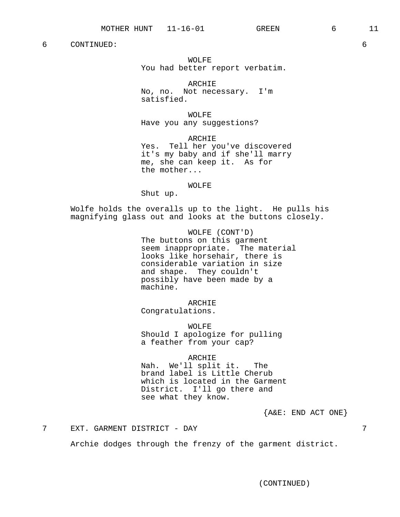WOLFE You had better report verbatim.

ARCHIE No, no. Not necessary. I'm satisfied.

WOLFE Have you any suggestions?

ARCHIE Yes. Tell her you've discovered it's my baby and if she'll marry me, she can keep it. As for the mother...

WOLFE

Shut up.

Wolfe holds the overalls up to the light. He pulls his magnifying glass out and looks at the buttons closely.

> WOLFE (CONT'D) The buttons on this garment seem inappropriate. The material looks like horsehair, there is considerable variation in size and shape. They couldn't possibly have been made by a machine.

> > ARCHIE

Congratulations.

WOLFE Should I apologize for pulling a feather from your cap?

ARCHIE

Nah. We'll split it. The brand label is Little Cherub which is located in the Garment District. I'll go there and see what they know.

 ${A\&E: END ACT ONE}$ 

7 EXT. GARMENT DISTRICT - DAY 7

Archie dodges through the frenzy of the garment district.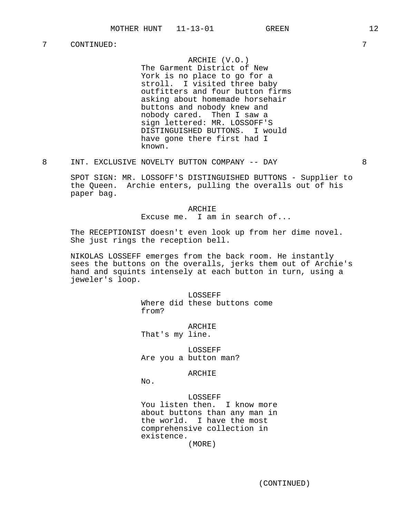# ARCHIE (V.O.)

The Garment District of New York is no place to go for a stroll. I visited three baby outfitters and four button firms asking about homemade horsehair buttons and nobody knew and nobody cared. Then I saw a sign lettered: MR. LOSSOFF'S DISTINGUISHED BUTTONS. I would have gone there first had I known.

8 INT. EXCLUSIVE NOVELTY BUTTON COMPANY -- DAY 3

SPOT SIGN: MR. LOSSOFF'S DISTINGUISHED BUTTONS - Supplier to the Queen. Archie enters, pulling the overalls out of his paper bag.

> ARCHIE Excuse me. I am in search of...

The RECEPTIONIST doesn't even look up from her dime novel. She just rings the reception bell.

NIKOLAS LOSSEFF emerges from the back room. He instantly sees the buttons on the overalls, jerks them out of Archie's hand and squints intensely at each button in turn, using a jeweler's loop.

> LOSSEFF Where did these buttons come from?

ARCHIE That's my line.

LOSSEFF Are you a button man?

## ARCHIE

No.

LOSSEFF You listen then. I know more about buttons than any man in the world. I have the most comprehensive collection in existence.

(MORE)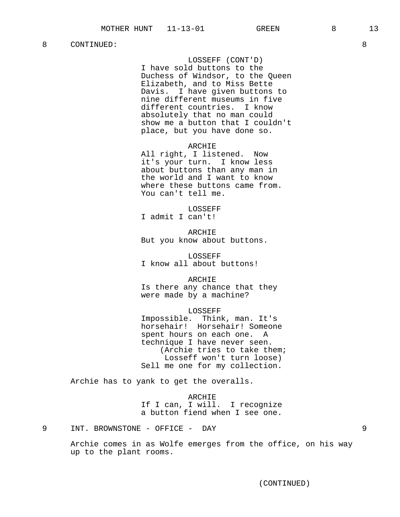LOSSEFF (CONT'D) I have sold buttons to the Duchess of Windsor, to the Queen Elizabeth, and to Miss Bette Davis. I have given buttons to nine different museums in five different countries. I know absolutely that no man could show me a button that I couldn't place, but you have done so.

ARCHIE

All right, I listened. Now it's your turn. I know less about buttons than any man in the world and I want to know where these buttons came from. You can't tell me.

LOSSEFF I admit I can't!

ARCHIE But you know about buttons.

LOSSEFF I know all about buttons!

ARCHIE Is there any chance that they were made by a machine?

#### LOSSEFF

Impossible. Think, man. It's horsehair! Horsehair! Someone spent hours on each one. A technique I have never seen. (Archie tries to take them; Losseff won't turn loose) Sell me one for my collection.

Archie has to yank to get the overalls.

ARCHIE If I can, I will. I recognize a button fiend when I see one.

9 INT. BROWNSTONE - OFFICE - DAY 9

Archie comes in as Wolfe emerges from the office, on his way up to the plant rooms.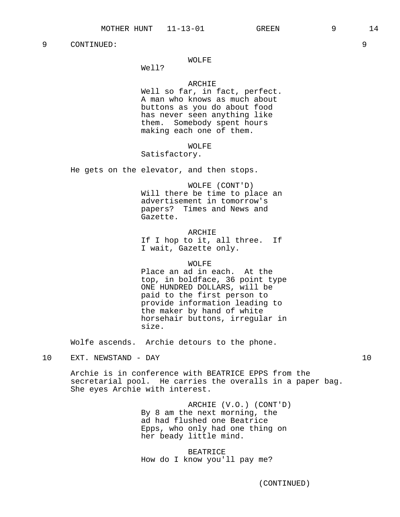# WOLFE

Well?

#### ARCHIE

Well so far, in fact, perfect. A man who knows as much about buttons as you do about food has never seen anything like them. Somebody spent hours making each one of them.

## WOLFE

# Satisfactory.

He gets on the elevator, and then stops.

WOLFE (CONT'D) Will there be time to place an advertisement in tomorrow's papers? Times and News and Gazette.

#### ARCHIE

If I hop to it, all three. If I wait, Gazette only.

## WOLFE

Place an ad in each. At the top, in boldface, 36 point type ONE HUNDRED DOLLARS, will be paid to the first person to provide information leading to the maker by hand of white horsehair buttons, irregular in size.

Wolfe ascends. Archie detours to the phone.

## 10 EXT. NEWSTAND - DAY 10

Archie is in conference with BEATRICE EPPS from the secretarial pool. He carries the overalls in a paper bag. She eyes Archie with interest.

> ARCHIE (V.O.) (CONT'D) By 8 am the next morning, the ad had flushed one Beatrice Epps, who only had one thing on her beady little mind.

BEATRICE How do I know you'll pay me?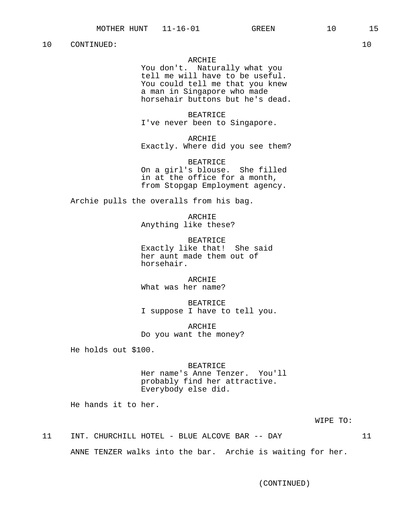## ARCHIE

You don't. Naturally what you tell me will have to be useful. You could tell me that you knew a man in Singapore who made horsehair buttons but he's dead.

BEATRICE I've never been to Singapore.

ARCHIE Exactly. Where did you see them?

BEATRICE On a girl's blouse. She filled in at the office for a month, from Stopgap Employment agency.

Archie pulls the overalls from his bag.

ARCHIE Anything like these?

BEATRICE Exactly like that! She said her aunt made them out of horsehair.

ARCHIE What was her name?

BEATRICE I suppose I have to tell you.

ARCHIE Do you want the money?

He holds out \$100.

# BEATRICE Her name's Anne Tenzer. You'll probably find her attractive. Everybody else did.

He hands it to her.

WIPE TO:

11 INT. CHURCHILL HOTEL - BLUE ALCOVE BAR -- DAY 11 ANNE TENZER walks into the bar. Archie is waiting for her.

(CONTINUED)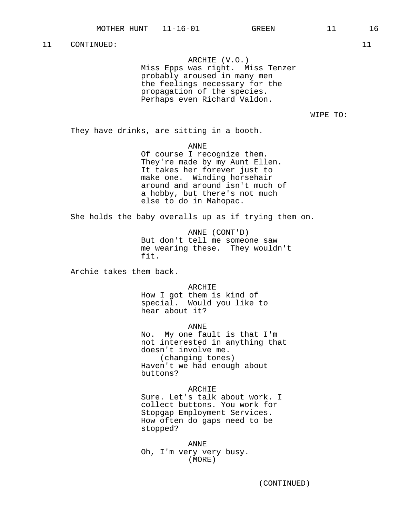ARCHIE (V.O.)

Miss Epps was right. Miss Tenzer probably aroused in many men the feelings necessary for the propagation of the species. Perhaps even Richard Valdon.

WIPE TO:

They have drinks, are sitting in a booth.

ANNE

Of course I recognize them. They're made by my Aunt Ellen. It takes her forever just to make one. Winding horsehair around and around isn't much of a hobby, but there's not much else to do in Mahopac.

She holds the baby overalls up as if trying them on.

ANNE (CONT'D) But don't tell me someone saw me wearing these. They wouldn't fit.

Archie takes them back.

ARCHIE

How I got them is kind of special. Would you like to hear about it?

ANNE

No. My one fault is that I'm not interested in anything that doesn't involve me. (changing tones) Haven't we had enough about buttons?

## ARCHIE

Sure. Let's talk about work. I collect buttons. You work for Stopgap Employment Services. How often do gaps need to be stopped?

ANNE Oh, I'm very very busy. (MORE)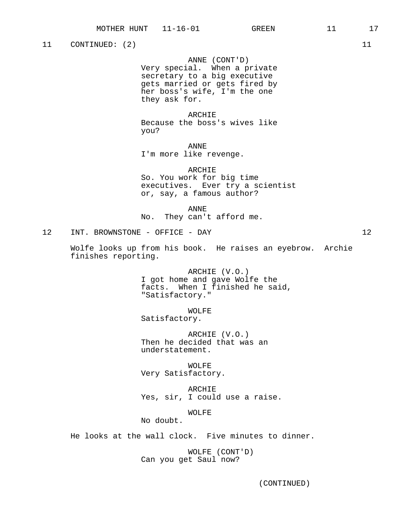11 CONTINUED: (2) 11

# ANNE (CONT'D)

Very special. When a private secretary to a big executive gets married or gets fired by her boss's wife, I'm the one they ask for.

### ARCHIE

Because the boss's wives like you?

ANNE I'm more like revenge.

#### ARCHIE

So. You work for big time executives. Ever try a scientist or, say, a famous author?

ANNE

No. They can't afford me.

12 INT. BROWNSTONE - OFFICE - DAY 12

Wolfe looks up from his book. He raises an eyebrow. Archie finishes reporting.

> ARCHIE (V.O.) I got home and gave Wolfe the facts. When I finished he said, "Satisfactory."

WOLFE Satisfactory.

ARCHIE (V.O.) Then he decided that was an understatement.

WOLFE Very Satisfactory.

ARCHIE Yes, sir, I could use a raise.

## WOLFE

No doubt.

He looks at the wall clock. Five minutes to dinner.

WOLFE (CONT'D) Can you get Saul now?

(CONTINUED)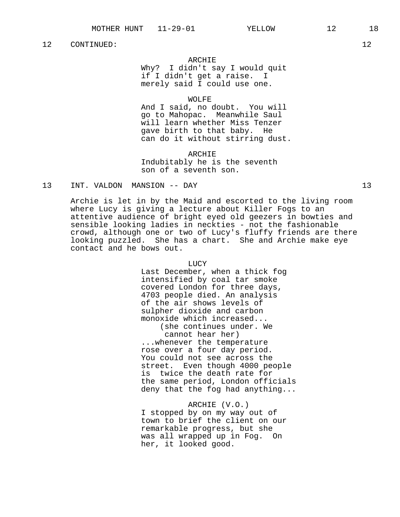# ARCHIE

Why? I didn't say I would quit if I didn't get a raise. I merely said I could use one.

## WOLFE

And I said, no doubt. You will go to Mahopac. Meanwhile Saul will learn whether Miss Tenzer gave birth to that baby. He can do it without stirring dust.

ARCHIE Indubitably he is the seventh son of a seventh son.

## 13 INT. VALDON MANSION -- DAY 13

Archie is let in by the Maid and escorted to the living room where Lucy is giving a lecture about Killer Fogs to an attentive audience of bright eyed old geezers in bowties and sensible looking ladies in neckties - not the fashionable crowd, although one or two of Lucy's fluffy friends are there looking puzzled. She has a chart. She and Archie make eye contact and he bows out.

#### LUCY

Last December, when a thick fog intensified by coal tar smoke covered London for three days, 4703 people died. An analysis of the air shows levels of sulpher dioxide and carbon monoxide which increased... (she continues under. We cannot hear her) ...whenever the temperature rose over a four day period. You could not see across the street. Even though 4000 people is twice the death rate for the same period, London officials deny that the fog had anything...

ARCHIE (V.O.) I stopped by on my way out of town to brief the client on our remarkable progress, but she was all wrapped up in Fog. On her, it looked good.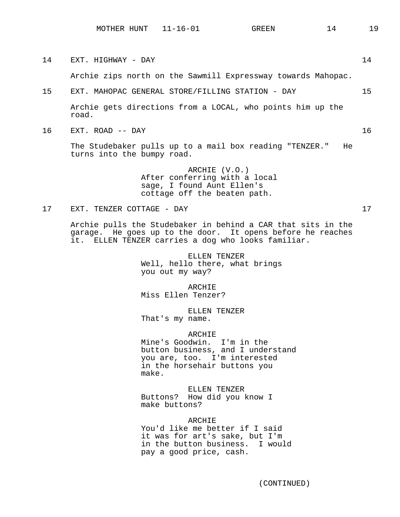14 EXT. HIGHWAY - DAY 14 Archie zips north on the Sawmill Expressway towards Mahopac. 15 EXT. MAHOPAC GENERAL STORE/FILLING STATION - DAY 15 Archie gets directions from a LOCAL, who points him up the road. 16 EXT. ROAD -- DAY 16 The Studebaker pulls up to a mail box reading "TENZER." He turns into the bumpy road. ARCHIE (V.O.) After conferring with a local sage, I found Aunt Ellen's cottage off the beaten path. 17 EXT. TENZER COTTAGE - DAY 17 Archie pulls the Studebaker in behind a CAR that sits in the garage. He goes up to the door. It opens before he reaches it. ELLEN TENZER carries a dog who looks familiar. ELLEN TENZER Well, hello there, what brings

you out my way? ARCHIE

Miss Ellen Tenzer?

ELLEN TENZER That's my name.

ARCHIE Mine's Goodwin. I'm in the button business, and I understand you are, too. I'm interested in the horsehair buttons you make.

ELLEN TENZER Buttons? How did you know I make buttons?

ARCHIE You'd like me better if I said it was for art's sake, but I'm in the button business. I would pay a good price, cash.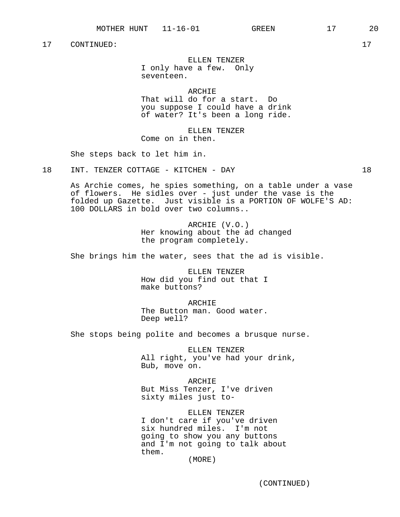ELLEN TENZER I only have a few. Only seventeen.

**ARCHIE** That will do for a start. Do you suppose I could have a drink of water? It's been a long ride.

ELLEN TENZER Come on in then.

She steps back to let him in.

18 INT. TENZER COTTAGE - KITCHEN - DAY 18

As Archie comes, he spies something, on a table under a vase of flowers. He sidles over - just under the vase is the folded up Gazette. Just visible is a PORTION OF WOLFE'S AD: 100 DOLLARS in bold over two columns..

> ARCHIE (V.O.) Her knowing about the ad changed the program completely.

She brings him the water, sees that the ad is visible.

ELLEN TENZER How did you find out that I make buttons?

ARCHIE The Button man. Good water. Deep well?

She stops being polite and becomes a brusque nurse.

ELLEN TENZER All right, you've had your drink, Bub, move on.

ARCHIE But Miss Tenzer, I've driven sixty miles just to-

ELLEN TENZER I don't care if you've driven six hundred miles. I'm not going to show you any buttons and I'm not going to talk about them.

(MORE)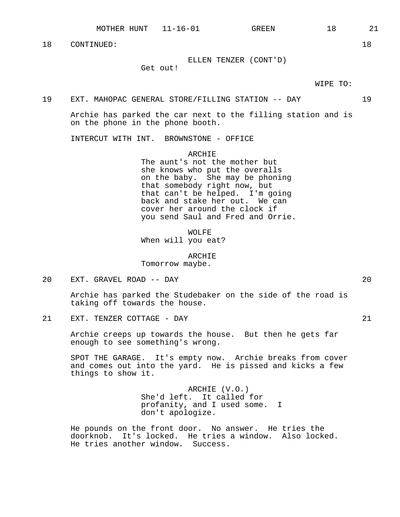ELLEN TENZER (CONT'D)

Get out!

WIPE TO:

#### 19 EXT. MAHOPAC GENERAL STORE/FILLING STATION -- DAY 19

Archie has parked the car next to the filling station and is on the phone in the phone booth.

INTERCUT WITH INT. BROWNSTONE - OFFICE

ARCHIE

The aunt's not the mother but she knows who put the overalls on the baby. She may be phoning that somebody right now, but that can't be helped. I'm going back and stake her out. We can cover her around the clock if you send Saul and Fred and Orrie.

WOLFE When will you eat?

ARCHIE Tomorrow maybe.

20 EXT. GRAVEL ROAD -- DAY 20

Archie has parked the Studebaker on the side of the road is taking off towards the house.

21 EXT. TENZER COTTAGE - DAY 21

Archie creeps up towards the house. But then he gets far enough to see something's wrong.

SPOT THE GARAGE. It's empty now. Archie breaks from cover and comes out into the yard. He is pissed and kicks a few things to show it.

> ARCHIE (V.O.) She'd left. It called for profanity, and I used some. I don't apologize.

He pounds on the front door. No answer. He tries the doorknob. It's locked. He tries a window. Also locked. He tries another window. Success.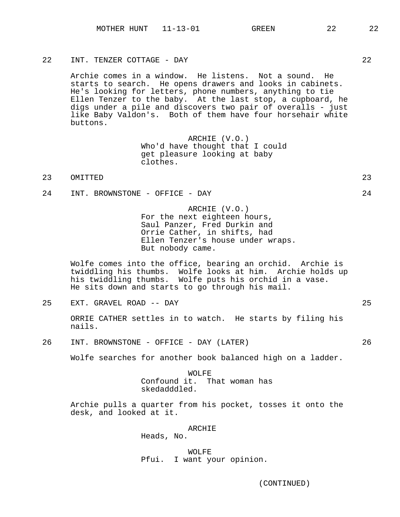22 INT. TENZER COTTAGE - DAY 22

Archie comes in a window. He listens. Not a sound. He starts to search. He opens drawers and looks in cabinets. He's looking for letters, phone numbers, anything to tie Ellen Tenzer to the baby. At the last stop, a cupboard, he digs under a pile and discovers two pair of overalls - just like Baby Valdon's. Both of them have four horsehair white buttons.

> ARCHIE (V.O.) Who'd have thought that I could get pleasure looking at baby clothes.

- 23 OMITTED 23
- 24 INT. BROWNSTONE OFFICE DAY 24

ARCHIE (V.O.) For the next eighteen hours, Saul Panzer, Fred Durkin and Orrie Cather, in shifts, had Ellen Tenzer's house under wraps. But nobody came.

Wolfe comes into the office, bearing an orchid. Archie is twiddling his thumbs. Wolfe looks at him. Archie holds up his twiddling thumbs. Wolfe puts his orchid in a vase. He sits down and starts to go through his mail.

25 EXT. GRAVEL ROAD -- DAY 25

ORRIE CATHER settles in to watch. He starts by filing his nails.

26 INT. BROWNSTONE - OFFICE - DAY (LATER) 26

Wolfe searches for another book balanced high on a ladder.

WOLFE Confound it. That woman has skedadddled.

Archie pulls a quarter from his pocket, tosses it onto the desk, and looked at it.

ARCHIE

Heads, No.

WOLFE Pfui. I want your opinion.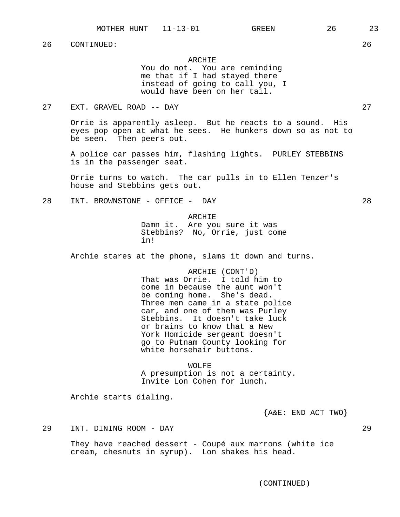## ARCHIE

You do not. You are reminding me that if I had stayed there instead of going to call you, I would have been on her tail.

# 27 EXT. GRAVEL ROAD -- DAY 27

Orrie is apparently asleep. But he reacts to a sound. His eyes pop open at what he sees. He hunkers down so as not to be seen. Then peers out.

A police car passes him, flashing lights. PURLEY STEBBINS is in the passenger seat.

Orrie turns to watch. The car pulls in to Ellen Tenzer's house and Stebbins gets out.

28 INT. BROWNSTONE - OFFICE - DAY 28

#### ARCHIE

Damn it. Are you sure it was Stebbins? No, Orrie, just come in!

Archie stares at the phone, slams it down and turns.

ARCHIE (CONT'D) That was Orrie. I told him to come in because the aunt won't be coming home. She's dead. Three men came in a state police car, and one of them was Purley Stebbins. It doesn't take luck or brains to know that a New York Homicide sergeant doesn't go to Putnam County looking for white horsehair buttons.

WOLFE A presumption is not a certainty. Invite Lon Cohen for lunch.

Archie starts dialing.

{A&E: END ACT TWO}

29 INT. DINING ROOM - DAY 29

They have reached dessert - Coupé aux marrons (white ice cream, chesnuts in syrup). Lon shakes his head.

(CONTINUED)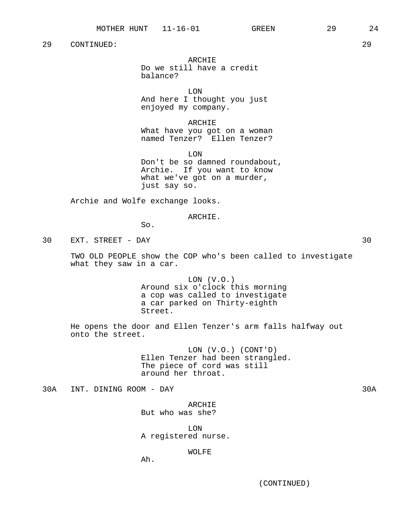# ARCHIE

Do we still have a credit balance?

LON

And here I thought you just enjoyed my company.

ARCHIE

What have you got on a woman named Tenzer? Ellen Tenzer?

LON Don't be so damned roundabout, Archie. If you want to know what we've got on a murder, just say so.

Archie and Wolfe exchange looks.

#### ARCHIE.

So.

30 EXT. STREET - DAY 30

TWO OLD PEOPLE show the COP who's been called to investigate what they saw in a car.

> LON (V.O.) Around six o'clock this morning a cop was called to investigate a car parked on Thirty-eighth Street.

He opens the door and Ellen Tenzer's arm falls halfway out onto the street.

> LON (V.O.) (CONT'D) Ellen Tenzer had been strangled. The piece of cord was still around her throat.

30A INT. DINING ROOM - DAY 30A

ARCHIE But who was she?

LON A registered nurse.

# WOLFE

Ah.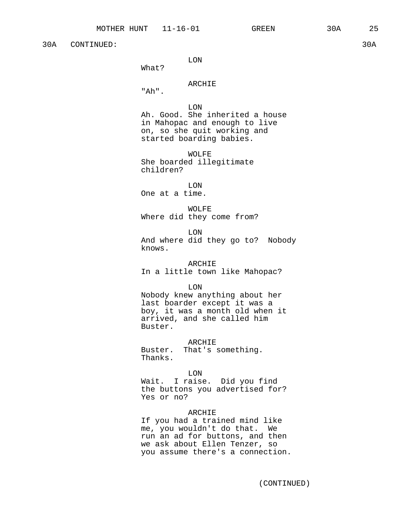30A CONTINUED: 30A

# LON

What?

# ARCHIE

"Ah".

LON

Ah. Good. She inherited a house in Mahopac and enough to live on, so she quit working and started boarding babies.

WOLFE She boarded illegitimate children?

LON One at a time.

WOLFE Where did they come from?

LON And where did they go to? Nobody knows.

#### ARCHIE

In a little town like Mahopac?

LON

Nobody knew anything about her last boarder except it was a boy, it was a month old when it arrived, and she called him Buster.

ARCHIE Buster. That's something. Thanks.

LON

Wait. I raise. Did you find the buttons you advertised for? Yes or no?

# ARCHIE

If you had a trained mind like me, you wouldn't do that. We run an ad for buttons, and then we ask about Ellen Tenzer, so you assume there's a connection.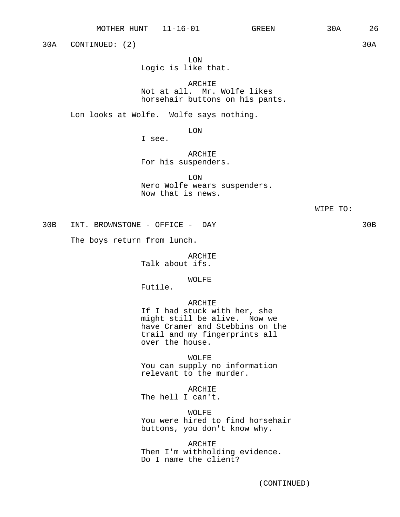30A CONTINUED: (2) 30A

LON Logic is like that.

ARCHIE Not at all. Mr. Wolfe likes horsehair buttons on his pants.

Lon looks at Wolfe. Wolfe says nothing.

LON

I see.

ARCHIE For his suspenders.

LON Nero Wolfe wears suspenders. Now that is news.

30B INT. BROWNSTONE - OFFICE - DAY 30B

The boys return from lunch.

ARCHIE Talk about ifs.

WOLFE

Futile.

## ARCHIE

If I had stuck with her, she might still be alive. Now we have Cramer and Stebbins on the trail and my fingerprints all over the house.

WOLFE

You can supply no information relevant to the murder.

ARCHIE

The hell I can't.

WOLFE

You were hired to find horsehair buttons, you don't know why.

ARCHIE Then I'm withholding evidence. Do I name the client?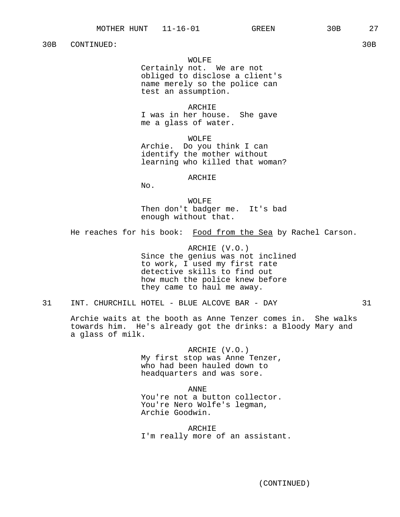30B CONTINUED: 30B

## WOLFE

Certainly not. We are not obliged to disclose a client's name merely so the police can test an assumption.

ARCHIE I was in her house. She gave me a glass of water.

WOLFE Archie. Do you think I can identify the mother without learning who killed that woman?

#### ARCHIE

No.

WOLFE Then don't badger me. It's bad enough without that.

He reaches for his book: Food from the Sea by Rachel Carson.

ARCHIE (V.O.) Since the genius was not inclined to work, I used my first rate detective skills to find out how much the police knew before they came to haul me away.

31 INT. CHURCHILL HOTEL - BLUE ALCOVE BAR - DAY 31

Archie waits at the booth as Anne Tenzer comes in. She walks towards him. He's already got the drinks: a Bloody Mary and a glass of milk.

> ARCHIE (V.O.) My first stop was Anne Tenzer, who had been hauled down to headquarters and was sore.

> ANNE You're not a button collector. You're Nero Wolfe's legman, Archie Goodwin.

ARCHIE I'm really more of an assistant.

(CONTINUED)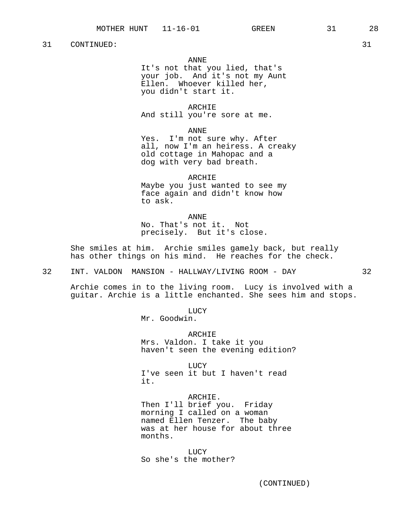# ANNE

It's not that you lied, that's your job. And it's not my Aunt Ellen. Whoever killed her, you didn't start it.

#### ARCHIE

And still you're sore at me.

#### ANNE

Yes. I'm not sure why. After all, now I'm an heiress. A creaky old cottage in Mahopac and a dog with very bad breath.

#### ARCHIE

Maybe you just wanted to see my face again and didn't know how to ask.

ANNE No. That's not it. Not precisely. But it's close.

She smiles at him. Archie smiles gamely back, but really has other things on his mind. He reaches for the check.

32 INT. VALDON MANSION - HALLWAY/LIVING ROOM - DAY 32

LUCY

Mr. Goodwin.

ARCHIE Mrs. Valdon. I take it you haven't seen the evening edition?

LUCY I've seen it but I haven't read it.

ARCHIE. Then I'll brief you. Friday morning I called on a woman named Ellen Tenzer. The baby was at her house for about three months.

LUCY So she's the mother?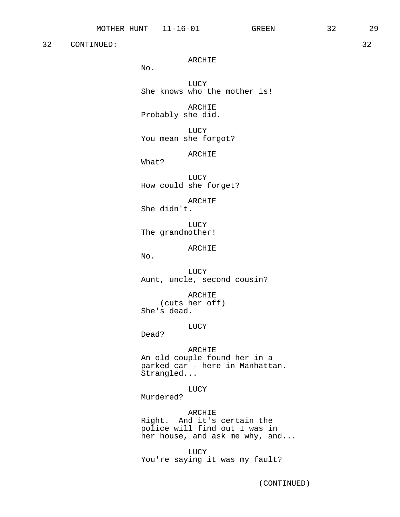ARCHIE

No.

LUCY She knows who the mother is!

ARCHIE Probably she did.

LUCY You mean she forgot?

ARCHIE

What?

LUCY How could she forget?

ARCHIE She didn't.

LUCY The grandmother!

ARCHIE

No.

LUCY Aunt, uncle, second cousin?

ARCHIE (cuts her off) She's dead.

LUCY

Dead?

ARCHIE An old couple found her in a parked car - here in Manhattan. Strangled...

LUCY

Murdered?

ARCHIE Right. And it's certain the police will find out I was in her house, and ask me why, and...

LUCY You're saying it was my fault?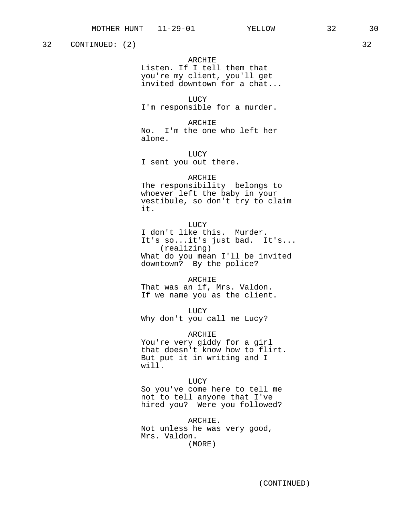32 CONTINUED: (2) 32

# ARCHIE Listen. If I tell them that you're my client, you'll get invited downtown for a chat...

LUCY I'm responsible for a murder.

ARCHIE No. I'm the one who left her alone.

LUCY I sent you out there.

## ARCHIE

The responsibility belongs to whoever left the baby in your vestibule, so don't try to claim it.

LUCY I don't like this. Murder. It's so...it's just bad. It's... (realizing) What do you mean I'll be invited downtown? By the police?

ARCHIE That was an if, Mrs. Valdon. If we name you as the client.

LUCY Why don't you call me Lucy?

ARCHIE You're very giddy for a girl that doesn't know how to flirt. But put it in writing and I will.

LUCY So you've come here to tell me not to tell anyone that I've hired you? Were you followed?

ARCHIE. Not unless he was very good, Mrs. Valdon. (MORE)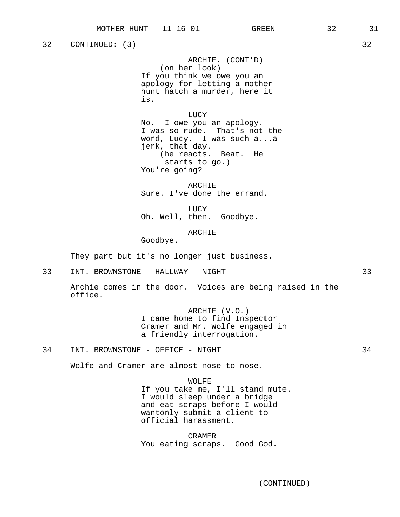32 CONTINUED: (3) 32

ARCHIE. (CONT'D) (on her look) If you think we owe you an apology for letting a mother hunt hatch a murder, here it is.

LUCY

No. I owe you an apology. I was so rude. That's not the word, Lucy. I was such a...a jerk, that day. (he reacts. Beat. He starts to go.) You're going?

ARCHIE Sure. I've done the errand.

LUCY Oh. Well, then. Goodbye.

ARCHIE

Goodbye.

They part but it's no longer just business.

33 INT. BROWNSTONE - HALLWAY - NIGHT 33

Archie comes in the door. Voices are being raised in the office.

> ARCHIE (V.O.) I came home to find Inspector Cramer and Mr. Wolfe engaged in a friendly interrogation.

34 INT. BROWNSTONE - OFFICE - NIGHT 34

Wolfe and Cramer are almost nose to nose.

WOLFE If you take me, I'll stand mute. I would sleep under a bridge and eat scraps before I would wantonly submit a client to official harassment.

CRAMER You eating scraps. Good God.

(CONTINUED)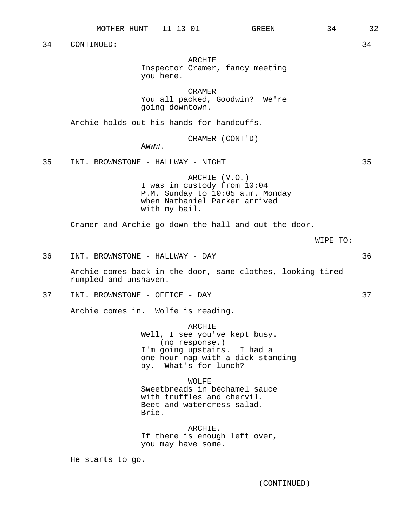(CONTINUED)

34 CONTINUED: 34

# ARCHIE

Inspector Cramer, fancy meeting you here.

CRAMER You all packed, Goodwin? We're

going downtown.

Archie holds out his hands for handcuffs.

CRAMER (CONT'D)

Awww.

35 INT. BROWNSTONE - HALLWAY - NIGHT 35

ARCHIE (V.O.) I was in custody from 10:04 P.M. Sunday to 10:05 a.m. Monday when Nathaniel Parker arrived with my bail.

Cramer and Archie go down the hall and out the door.

WIPE TO:

36 INT. BROWNSTONE - HALLWAY - DAY 36

Archie comes back in the door, same clothes, looking tired rumpled and unshaven.

37 INT. BROWNSTONE - OFFICE - DAY 37

Archie comes in. Wolfe is reading.

ARCHIE Well, I see you've kept busy. (no response.) I'm going upstairs. I had a one-hour nap with a dick standing by. What's for lunch?

WOLFE. Sweetbreads in béchamel sauce with truffles and chervil. Beet and watercress salad. Brie.

ARCHIE. If there is enough left over, you may have some.

He starts to go.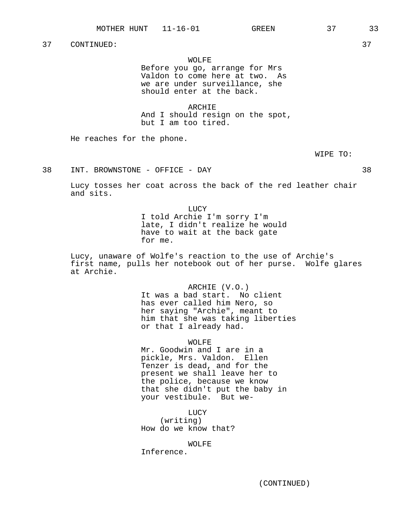## WOLFE

Before you go, arrange for Mrs Valdon to come here at two. As we are under surveillance, she should enter at the back.

ARCHIE And I should resign on the spot, but I am too tired.

He reaches for the phone.

WIPE TO:

38 INT. BROWNSTONE - OFFICE - DAY 38

Lucy tosses her coat across the back of the red leather chair and sits.

> LUCY I told Archie I'm sorry I'm late, I didn't realize he would have to wait at the back gate for me.

Lucy, unaware of Wolfe's reaction to the use of Archie's first name, pulls her notebook out of her purse. Wolfe glares at Archie.

> ARCHIE (V.O.) It was a bad start. No client has ever called him Nero, so her saying "Archie", meant to him that she was taking liberties or that I already had.

> > WOLFE

Mr. Goodwin and I are in a pickle, Mrs. Valdon. Ellen Tenzer is dead, and for the present we shall leave her to the police, because we know that she didn't put the baby in your vestibule. But we-

LUCY (writing) How do we know that?

WOLFE

Inference.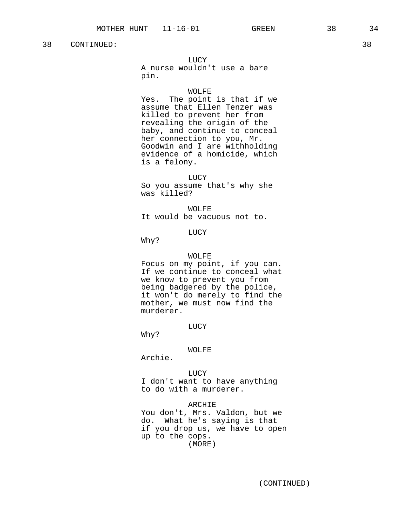LUCY

A nurse wouldn't use a bare pin.

#### WOLFE

Yes. The point is that if we assume that Ellen Tenzer was killed to prevent her from revealing the origin of the baby, and continue to conceal her connection to you, Mr. Goodwin and I are withholding evidence of a homicide, which is a felony.

#### LUCY

So you assume that's why she was killed?

WOLFE It would be vacuous not to.

# LUCY

Why?

#### WOLFE

Focus on my point, if you can. If we continue to conceal what we know to prevent you from being badgered by the police, it won't do merely to find the mother, we must now find the murderer.

#### LUCY

Why?

#### WOLFE

Archie.

LUCY I don't want to have anything to do with a murderer.

ARCHIE

You don't, Mrs. Valdon, but we do. What he's saying is that if you drop us, we have to open up to the cops. (MORE)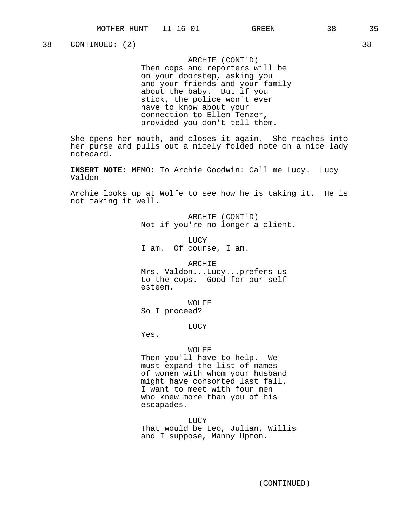ARCHIE (CONT'D) Then cops and reporters will be on your doorstep, asking you and your friends and your family about the baby. But if you stick, the police won't ever have to know about your connection to Ellen Tenzer, provided you don't tell them.

She opens her mouth, and closes it again. She reaches into her purse and pulls out a nicely folded note on a nice lady notecard.

**INSERT NOTE**: MEMO: To Archie Goodwin: Call me Lucy. Lucy Valdon

Archie looks up at Wolfe to see how he is taking it. He is not taking it well.

> ARCHIE (CONT'D) Not if you're no longer a client.

LUCY I am. Of course, I am.

ARCHIE

Mrs. Valdon...Lucy...prefers us to the cops. Good for our selfesteem.

WOLFE So I proceed?

LUCY

Yes.

#### WOLFE

Then you'll have to help. We must expand the list of names of women with whom your husband might have consorted last fall. I want to meet with four men who knew more than you of his escapades.

LUCY That would be Leo, Julian, Willis and I suppose, Manny Upton.

38 CONTINUED: (2) 38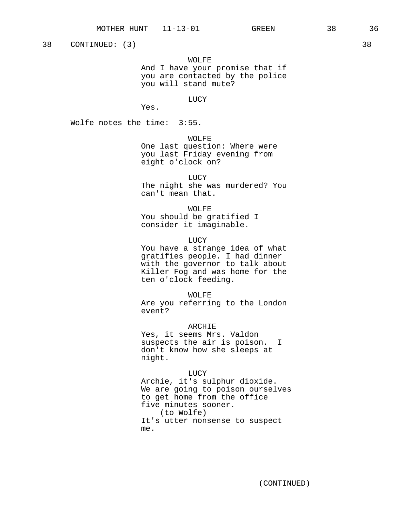38 CONTINUED: (3) 38

## WOLFE

And I have your promise that if you are contacted by the police you will stand mute?

#### LUCY

Yes.

Wolfe notes the time: 3:55.

WOLFE

One last question: Where were you last Friday evening from eight o'clock on?

LUCY

The night she was murdered? You can't mean that.

## WOLFE

You should be gratified I consider it imaginable.

#### LUCY

You have a strange idea of what gratifies people. I had dinner with the governor to talk about Killer Fog and was home for the ten o'clock feeding.

WOLFE

Are you referring to the London event?

## ARCHIE

Yes, it seems Mrs. Valdon suspects the air is poison. I don't know how she sleeps at night.

LUCY

Archie, it's sulphur dioxide. We are going to poison ourselves to get home from the office five minutes sooner. (to Wolfe) It's utter nonsense to suspect me.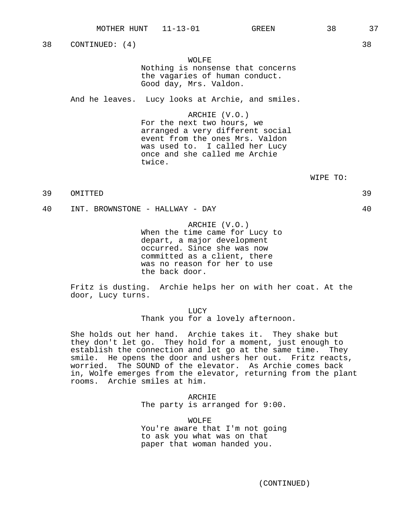38 CONTINUED: (4) 38

WOLFE

Nothing is nonsense that concerns the vagaries of human conduct. Good day, Mrs. Valdon.

And he leaves. Lucy looks at Archie, and smiles.

ARCHIE (V.O.)

For the next two hours, we arranged a very different social event from the ones Mrs. Valdon was used to. I called her Lucy once and she called me Archie twice.

WIPE TO:

39 OMITTED 39

40 INT. BROWNSTONE - HALLWAY - DAY 40

ARCHIE (V.O.) When the time came for Lucy to depart, a major development occurred. Since she was now committed as a client, there was no reason for her to use the back door.

Fritz is dusting. Archie helps her on with her coat. At the door, Lucy turns.

> LUCY Thank you for a lovely afternoon.

She holds out her hand. Archie takes it. They shake but they don't let go. They hold for a moment, just enough to establish the connection and let go at the same time. They smile. He opens the door and ushers her out. Fritz reacts, worried. The SOUND of the elevator. As Archie comes back in, Wolfe emerges from the elevator, returning from the plant rooms. Archie smiles at him.

> ARCHIE The party is arranged for 9:00.

> WOLFE You're aware that I'm not going to ask you what was on that paper that woman handed you.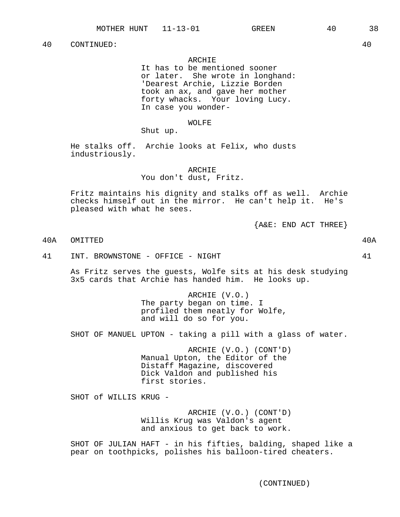## ARCHIE

It has to be mentioned sooner or later. She wrote in longhand: 'Dearest Archie, Lizzie Borden took an ax, and gave her mother forty whacks. Your loving Lucy. In case you wonder-

## WOLFE

Shut up.

He stalks off. Archie looks at Felix, who dusts industriously.

ARCHIE

You don't dust, Fritz.

Fritz maintains his dignity and stalks off as well. Archie checks himself out in the mirror. He can't help it. He's pleased with what he sees.

 ${A@E: END ACT THEN}$ 

40A OMITTED 40A

41 INT. BROWNSTONE - OFFICE - NIGHT 41

As Fritz serves the guests, Wolfe sits at his desk studying 3x5 cards that Archie has handed him. He looks up.

> ARCHIE (V.O.) The party began on time. I profiled them neatly for Wolfe, and will do so for you.

SHOT OF MANUEL UPTON - taking a pill with a glass of water.

ARCHIE (V.O.) (CONT'D) Manual Upton, the Editor of the Distaff Magazine, discovered Dick Valdon and published his first stories.

SHOT of WILLIS KRUG -

ARCHIE (V.O.) (CONT'D) Willis Krug was Valdon's agent and anxious to get back to work.

SHOT OF JULIAN HAFT - in his fifties, balding, shaped like a pear on toothpicks, polishes his balloon-tired cheaters.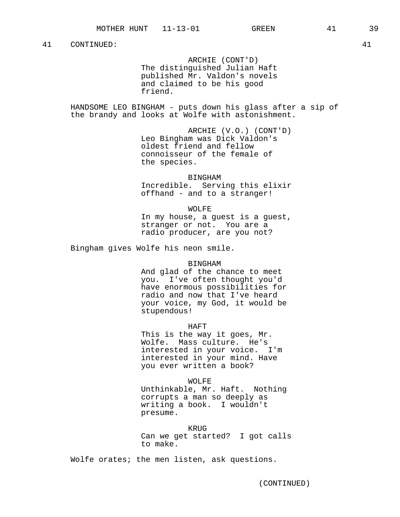ARCHIE (CONT'D) The distinguished Julian Haft published Mr. Valdon's novels and claimed to be his good friend.

HANDSOME LEO BINGHAM - puts down his glass after a sip of the brandy and looks at Wolfe with astonishment.

> ARCHIE (V.O.) (CONT'D) Leo Bingham was Dick Valdon's oldest friend and fellow connoisseur of the female of the species.

> BINGHAM Incredible. Serving this elixir offhand - and to a stranger!

> WOLFE In my house, a guest is a guest, stranger or not. You are a

radio producer, are you not?

Bingham gives Wolfe his neon smile.

#### BINGHAM

And glad of the chance to meet you. I've often thought you'd have enormous possibilities for radio and now that I've heard your voice, my God, it would be stupendous!

HAFT

This is the way it goes, Mr. Wolfe. Mass culture. He's interested in your voice. I'm interested in your mind. Have you ever written a book?

WOLFE

Unthinkable, Mr. Haft. Nothing corrupts a man so deeply as writing a book. I wouldn't presume.

KRUG

Can we get started? I got calls to make.

Wolfe orates; the men listen, ask questions.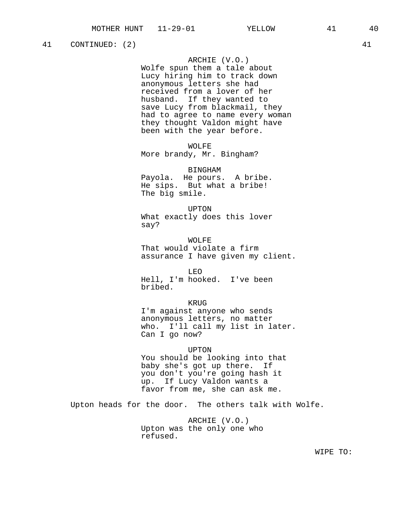## 41 CONTINUED: (2) 41

## ARCHIE (V.O.)

Wolfe spun them a tale about Lucy hiring him to track down anonymous letters she had received from a lover of her husband. If they wanted to save Lucy from blackmail, they had to agree to name every woman they thought Valdon might have been with the year before.

WOLFE More brandy, Mr. Bingham?

BINGHAM Payola. He pours. A bribe. He sips. But what a bribe! The big smile.

UPTON What exactly does this lover say?

WOLFE That would violate a firm assurance I have given my client.

LEO Hell, I'm hooked. I've been bribed.

KRUG

I'm against anyone who sends anonymous letters, no matter who. I'll call my list in later. Can I go now?

#### UPTON

You should be looking into that baby she's got up there. If you don't you're going hash it up. If Lucy Valdon wants a favor from me, she can ask me.

Upton heads for the door. The others talk with Wolfe.

ARCHIE (V.O.) Upton was the only one who refused.

WIPE TO: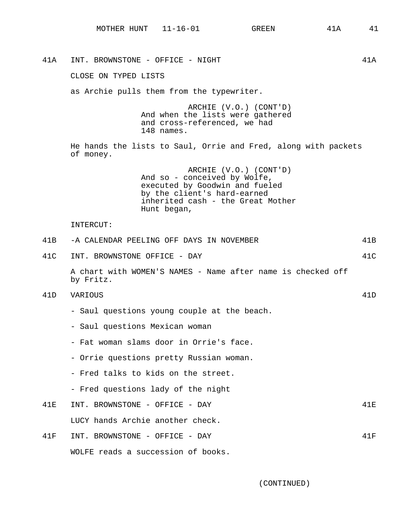41A INT. BROWNSTONE - OFFICE - NIGHT 41A CLOSE ON TYPED LISTS as Archie pulls them from the typewriter. ARCHIE (V.O.) (CONT'D) And when the lists were gathered and cross-referenced, we had 148 names. He hands the lists to Saul, Orrie and Fred, along with packets of money. ARCHIE (V.O.) (CONT'D) And so - conceived by Wolfe, executed by Goodwin and fueled by the client's hard-earned inherited cash - the Great Mother Hunt began, INTERCUT: 41B -A CALENDAR PEELING OFF DAYS IN NOVEMBER 41B 41C INT. BROWNSTONE OFFICE - DAY 41C A chart with WOMEN'S NAMES - Name after name is checked off by Fritz. 41D VARIOUS 41D - Saul questions young couple at the beach. - Saul questions Mexican woman - Fat woman slams door in Orrie's face. - Orrie questions pretty Russian woman. - Fred talks to kids on the street. - Fred questions lady of the night 41E INT. BROWNSTONE - OFFICE - DAY 41E LUCY hands Archie another check. 41F INT. BROWNSTONE - OFFICE - DAY 41F WOLFE reads a succession of books.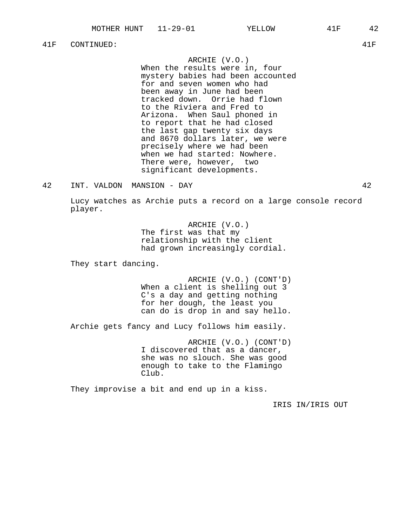41F CONTINUED: 41F

## ARCHIE (V.O.)

When the results were in, four mystery babies had been accounted for and seven women who had been away in June had been tracked down. Orrie had flown to the Riviera and Fred to Arizona. When Saul phoned in to report that he had closed the last gap twenty six days and 8670 dollars later, we were precisely where we had been when we had started: Nowhere. There were, however, two significant developments.

## 42 INT. VALDON MANSION - DAY 42

Lucy watches as Archie puts a record on a large console record player.

> ARCHIE (V.O.) The first was that my relationship with the client had grown increasingly cordial.

They start dancing.

ARCHIE (V.O.) (CONT'D) When a client is shelling out 3 C's a day and getting nothing for her dough, the least you can do is drop in and say hello.

Archie gets fancy and Lucy follows him easily.

ARCHIE (V.O.) (CONT'D) I discovered that as a dancer, she was no slouch. She was good enough to take to the Flamingo Club.

They improvise a bit and end up in a kiss.

IRIS IN/IRIS OUT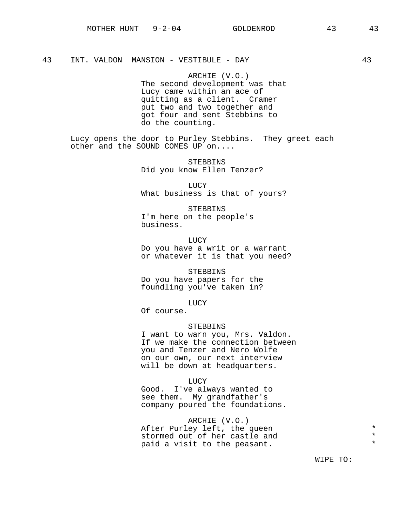## 43 INT. VALDON MANSION - VESTIBULE - DAY 43

ARCHIE (V.O.) The second development was that Lucy came within an ace of quitting as a client. Cramer put two and two together and got four and sent Stebbins to do the counting.

Lucy opens the door to Purley Stebbins. They greet each other and the SOUND COMES UP on....

> STEBBINS Did you know Ellen Tenzer?

LUCY What business is that of yours?

STEBBINS I'm here on the people's business.

LUCY Do you have a writ or a warrant or whatever it is that you need?

STEBBINS Do you have papers for the foundling you've taken in?

LUCY

Of course.

### STEBBINS

I want to warn you, Mrs. Valdon. If we make the connection between you and Tenzer and Nero Wolfe on our own, our next interview will be down at headquarters.

LUCY

Good. I've always wanted to see them. My grandfather's company poured the foundations.

ARCHIE (V.O.) After Purley left, the queen \* stormed out of her castle and \* paid a visit to the peasant.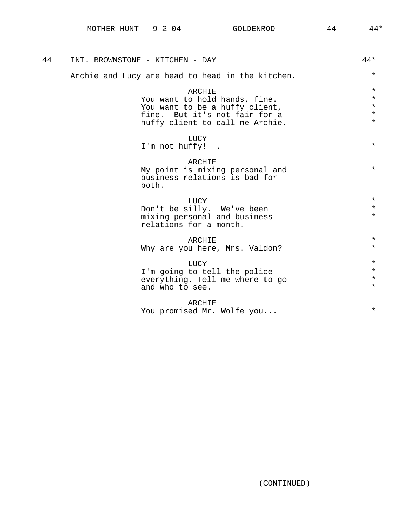| 44 | INT. BROWNSTONE - KITCHEN - DAY                  | $44*$   |
|----|--------------------------------------------------|---------|
|    | Archie and Lucy are head to head in the kitchen. | $\star$ |
|    | ARCHIE                                           | $\star$ |
|    | You want to hold hands, fine.                    | $\star$ |
|    | You want to be a huffy client,                   | $\star$ |
|    | fine. But it's not fair for a                    | $\star$ |
|    | huffy client to call me Archie.                  | $\star$ |
|    | LUCY                                             |         |
|    | I'm not huffy!                                   | $\star$ |
|    | ARCHIE                                           |         |
|    | My point is mixing personal and                  | $\star$ |
|    | business relations is bad for                    |         |
|    | both.                                            |         |
|    | LUCY                                             | $\star$ |
|    | Don't be silly. We've been                       | $\star$ |
|    | mixing personal and business                     | $\star$ |
|    | relations for a month.                           |         |
|    | ARCHIE                                           | $\star$ |
|    | Why are you here, Mrs. Valdon?                   | $\star$ |
|    |                                                  |         |
|    | LUCY                                             | $\star$ |
|    | I'm going to tell the police                     | $\star$ |
|    | everything. Tell me where to go                  | $\star$ |
|    | and who to see.                                  | $\star$ |
|    | ARCHIE                                           |         |
|    | You promised Mr. Wolfe you                       | $\star$ |
|    |                                                  |         |
|    |                                                  |         |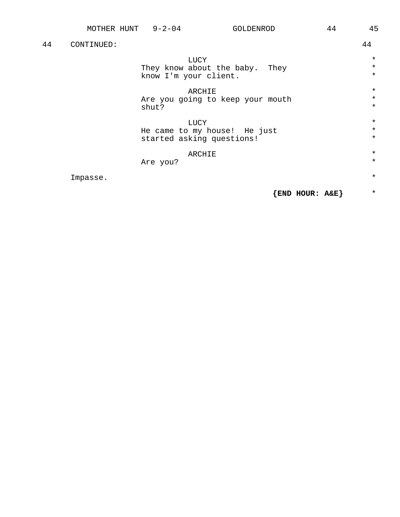| 44 | CONTINUED: |                                  | 44      |
|----|------------|----------------------------------|---------|
|    |            | LUCY                             | $\star$ |
|    |            | They know about the baby. They   | $\star$ |
|    |            | know I'm your client.            | $\star$ |
|    |            | ARCHIE                           | $\star$ |
|    |            | Are you going to keep your mouth | $\star$ |
|    |            | shut?                            | $\star$ |
|    |            | <b>LUCY</b>                      | $\star$ |
|    |            | He came to my house! He just     | $\star$ |
|    |            | started asking questions!        | $\star$ |
|    |            | ARCHIE                           | $\star$ |
|    |            | Are you?                         | $\star$ |
|    | Impasse.   |                                  | $\star$ |
|    |            | END HOUR: A&E}                   | $\star$ |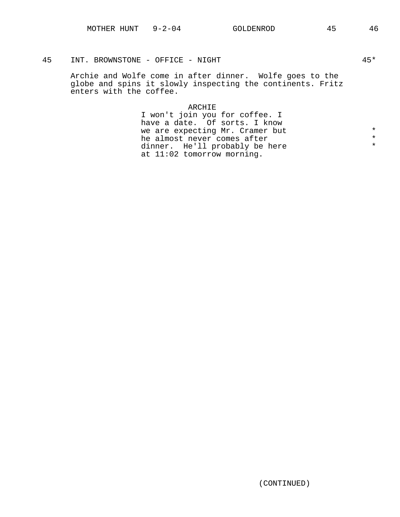## 45 INT. BROWNSTONE - OFFICE - NIGHT 45\* 45\*

Archie and Wolfe come in after dinner. Wolfe goes to the globe and spins it slowly inspecting the continents. Fritz enters with the coffee.

## ARCHIE

I won't join you for coffee. I have a date. Of sorts. I know we are expecting Mr. Cramer but<br>he almost never comes after  $*$ he almost never comes after \* dinner. He'll probably be here at 11:02 tomorrow morning.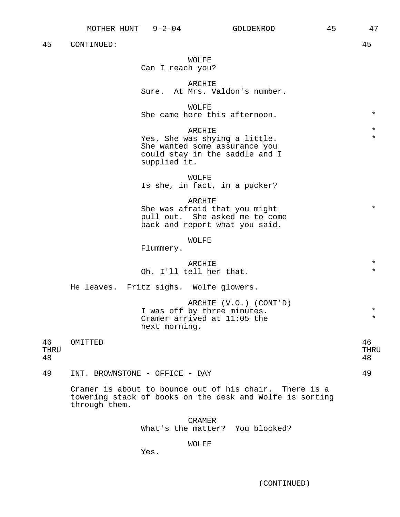WOLFE Can I reach you?

ARCHIE Sure. At Mrs. Valdon's number.

WOLFF. She came here this afternoon.  $*$ 

 $ARCHIE$  \*  $*$ Yes. She was shying a little. \* She wanted some assurance you could stay in the saddle and I supplied it.

WOLFE

Is she, in fact, in a pucker?

#### ARCHIE

She was afraid that you might  $*$ pull out. She asked me to come back and report what you said.

## WOLFE

Flummery.

## ARCHIE \*

# Oh. I'll tell her that.

He leaves. Fritz sighs. Wolfe glowers.

ARCHIE (V.O.) (CONT'D) I was off by three minutes.<br>Cramer arrived at 11:05 the  $*$ Cramer arrived at  $11:05$  the next morning.

46 OMITTED 46 THRU THRU 48 48

49 INT. BROWNSTONE - OFFICE - DAY 49

Cramer is about to bounce out of his chair. There is a towering stack of books on the desk and Wolfe is sorting through them.

> CRAMER What's the matter? You blocked?

## WOLFE

Yes.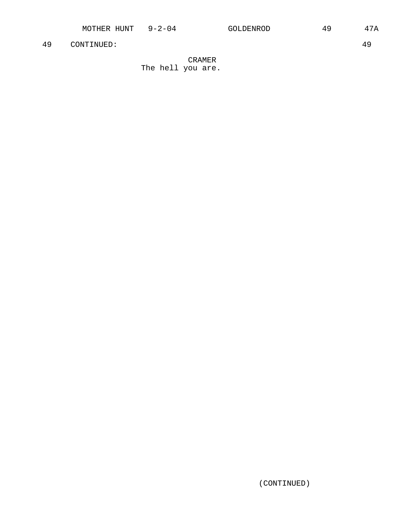CRAMER The hell you are.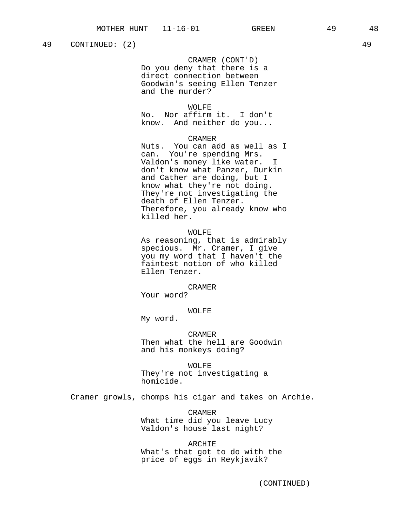CRAMER (CONT'D)

Do you deny that there is a direct connection between Goodwin's seeing Ellen Tenzer and the murder?

#### WOLFF.

No. Nor affirm it. I don't know. And neither do you...

#### CRAMER

Nuts. You can add as well as I can. You're spending Mrs. Valdon's money like water. I don't know what Panzer, Durkin and Cather are doing, but I know what they're not doing. They're not investigating the death of Ellen Tenzer. Therefore, you already know who killed her.

## WOLFE

As reasoning, that is admirably specious. Mr. Cramer, I give you my word that I haven't the faintest notion of who killed Ellen Tenzer.

## CRAMER

Your word?

## WOLFE

My word.

CRAMER Then what the hell are Goodwin and his monkeys doing?

WOLFE They're not investigating a homicide.

Cramer growls, chomps his cigar and takes on Archie.

CRAMER What time did you leave Lucy Valdon's house last night?

ARCHIE What's that got to do with the price of eggs in Reykjavik?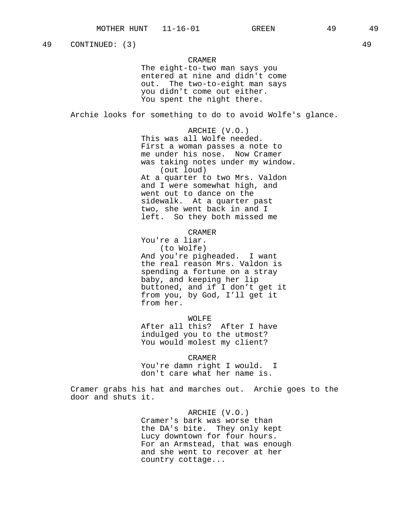49 CONTINUED: (3) 49

## CRAMER

The eight-to-two man says you entered at nine and didn't come out. The two-to-eight man says you didn't come out either. You spent the night there.

Archie looks for something to do to avoid Wolfe's glance.

ARCHIE (V.O.) This was all Wolfe needed. First a woman passes a note to me under his nose. Now Cramer was taking notes under my window. (out loud) At a quarter to two Mrs. Valdon and I were somewhat high, and went out to dance on the sidewalk. At a quarter past two, she went back in and I left. So they both missed me

## CRAMER

You're a liar. (to Wolfe) And you're pigheaded. I want the real reason Mrs. Valdon is spending a fortune on a stray baby, and keeping her lip buttoned, and if I don't get it from you, by God, I'll get it from her.

WOLFE After all this? After I have indulged you to the utmost? You would molest my client?

CRAMER You're damn right I would. I don't care what her name is.

Cramer grabs his hat and marches out. Archie goes to the door and shuts it.

> ARCHIE (V.O.) Cramer's bark was worse than the DA's bite. They only kept Lucy downtown for four hours. For an Armstead, that was enough and she went to recover at her country cottage...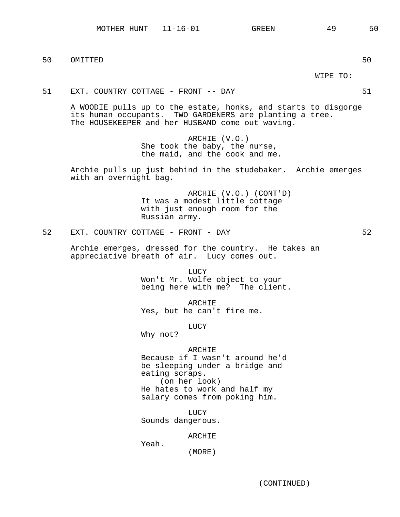with an overnight bag.

50 OMITTED 50

52 EXT. COUNTRY COTTAGE - FRONT - DAY 62

Russian army.

Archie emerges, dressed for the country. He takes an appreciative breath of air. Lucy comes out.

> LUCY Won't Mr. Wolfe object to your being here with me? The client.

A WOODIE pulls up to the estate, honks, and starts to disgorge

ARCHIE (V.O.) She took the baby, the nurse, the maid, and the cook and me.

Archie pulls up just behind in the studebaker. Archie emerges

It was a modest little cottage with just enough room for the

ARCHIE (V.O.) (CONT'D)

its human occupants. TWO GARDENERS are planting a tree.

The HOUSEKEEPER and her HUSBAND come out waving.

ARCHIE Yes, but he can't fire me.

LUCY

Why not?

## ARCHIE

Because if I wasn't around he'd be sleeping under a bridge and eating scraps. (on her look) He hates to work and half my salary comes from poking him.

LUCY Sounds dangerous.

#### ARCHIE

Yeah.

(MORE)

WIPE TO:

51 EXT. COUNTRY COTTAGE - FRONT -- DAY 51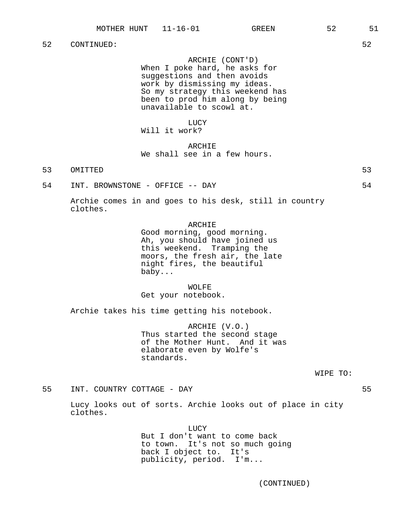ARCHIE (CONT'D)

When I poke hard, he asks for suggestions and then avoids work by dismissing my ideas. So my strategy this weekend has been to prod him along by being unavailable to scowl at.

LUCY

# Will it work?

## ARCHIE We shall see in a few hours.

- 53 OMITTED 53
- 54 INT. BROWNSTONE OFFICE -- DAY 54

Archie comes in and goes to his desk, still in country clothes.

#### ARCHIE

Good morning, good morning. Ah, you should have joined us this weekend. Tramping the moors, the fresh air, the late night fires, the beautiful baby...

WOLFE Get your notebook.

Archie takes his time getting his notebook.

ARCHIE (V.O.) Thus started the second stage of the Mother Hunt. And it was elaborate even by Wolfe's standards.

WIPE TO:

55 INT. COUNTRY COTTAGE - DAY 55

Lucy looks out of sorts. Archie looks out of place in city clothes.

> LUCY But I don't want to come back to town. It's not so much going back I object to. It's publicity, period. I'm...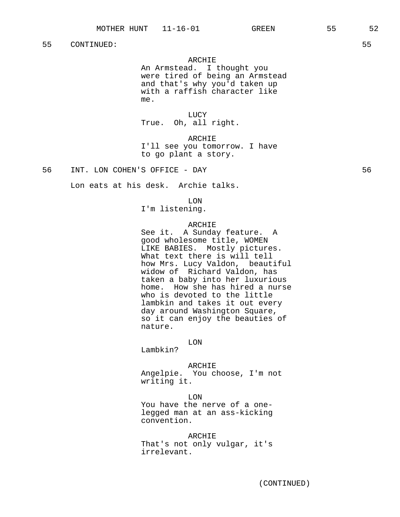## ARCHIE

An Armstead. I thought you were tired of being an Armstead and that's why you'd taken up with a raffish character like me.

LUCY True. Oh, all right.

ARCHIE I'll see you tomorrow. I have to go plant a story.

56 INT. LON COHEN'S OFFICE - DAY 56

Lon eats at his desk. Archie talks.

#### LON

I'm listening.

#### ARCHIE

See it. A Sunday feature. A good wholesome title, WOMEN LIKE BABIES. Mostly pictures. What text there is will tell how Mrs. Lucy Valdon, beautiful widow of Richard Valdon, has taken a baby into her luxurious home. How she has hired a nurse who is devoted to the little lambkin and takes it out every day around Washington Square, so it can enjoy the beauties of nature.

LON

Lambkin?

#### ARCHIE

Angelpie. You choose, I'm not writing it.

LON You have the nerve of a onelegged man at an ass-kicking convention.

ARCHIE That's not only vulgar, it's irrelevant.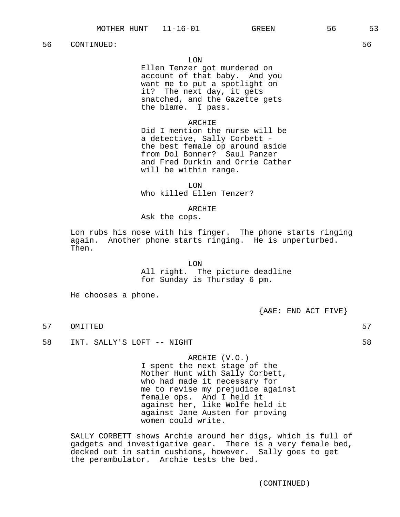Ellen Tenzer got murdered on account of that baby. And you want me to put a spotlight on it? The next day, it gets snatched, and the Gazette gets the blame. I pass.

## ARCHIE

Did I mention the nurse will be a detective, Sally Corbett the best female op around aside from Dol Bonner? Saul Panzer and Fred Durkin and Orrie Cather will be within range.

LON Who killed Ellen Tenzer?

## ARCHIE

Ask the cops.

Lon rubs his nose with his finger. The phone starts ringing again. Another phone starts ringing. He is unperturbed. Then.

> LON All right. The picture deadline for Sunday is Thursday 6 pm.

He chooses a phone.

 ${A\&E: END ACT FIVE}$ 

- 57 OMITTED 57
- 58 INT. SALLY'S LOFT -- NIGHT

ARCHIE (V.O.) I spent the next stage of the Mother Hunt with Sally Corbett, who had made it necessary for me to revise my prejudice against female ops. And I held it against her, like Wolfe held it against Jane Austen for proving women could write.

SALLY CORBETT shows Archie around her digs, which is full of gadgets and investigative gear. There is a very female bed, decked out in satin cushions, however. Sally goes to get the perambulator. Archie tests the bed.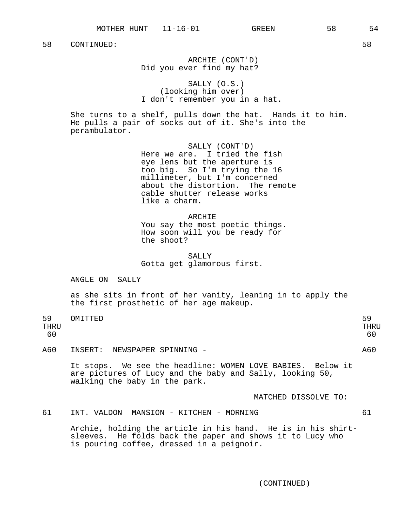ARCHIE (CONT'D) Did you ever find my hat?

SALLY (O.S.) (looking him over) I don't remember you in a hat.

She turns to a shelf, pulls down the hat. Hands it to him. He pulls a pair of socks out of it. She's into the perambulator.

> SALLY (CONT'D) Here we are. I tried the fish eye lens but the aperture is too big. So I'm trying the 16 millimeter, but I'm concerned about the distortion. The remote cable shutter release works like a charm.

ARCHIE You say the most poetic things. How soon will you be ready for the shoot?

SALLY Gotta get glamorous first.

ANGLE ON SALLY

as she sits in front of her vanity, leaning in to apply the the first prosthetic of her age makeup.

59 OMITTED 59 THRU THRU 60 60 A60 INSERT: NEWSPAPER SPINNING - A60

It stops. We see the headline: WOMEN LOVE BABIES. Below it are pictures of Lucy and the baby and Sally, looking 50, walking the baby in the park.

MATCHED DISSOLVE TO:

61 INT. VALDON MANSION - KITCHEN - MORNING 61

Archie, holding the article in his hand. He is in his shirtsleeves. He folds back the paper and shows it to Lucy who is pouring coffee, dressed in a peignoir.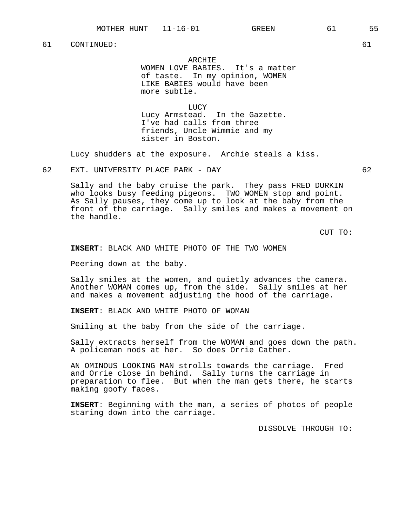ARCHIE

WOMEN LOVE BABIES. It's a matter of taste. In my opinion, WOMEN LIKE BABIES would have been more subtle.

**LUCY** Lucy Armstead. In the Gazette. I've had calls from three friends, Uncle Wimmie and my sister in Boston.

Lucy shudders at the exposure. Archie steals a kiss.

62 EXT. UNIVERSITY PLACE PARK - DAY 62

Sally and the baby cruise the park. They pass FRED DURKIN who looks busy feeding pigeons. TWO WOMEN stop and point. As Sally pauses, they come up to look at the baby from the front of the carriage. Sally smiles and makes a movement on the handle.

CUT TO:

**INSERT**: BLACK AND WHITE PHOTO OF THE TWO WOMEN

Peering down at the baby.

Sally smiles at the women, and quietly advances the camera. Another WOMAN comes up, from the side. Sally smiles at her and makes a movement adjusting the hood of the carriage.

**INSERT**: BLACK AND WHITE PHOTO OF WOMAN

Smiling at the baby from the side of the carriage.

Sally extracts herself from the WOMAN and goes down the path. A policeman nods at her. So does Orrie Cather.

AN OMINOUS LOOKING MAN strolls towards the carriage. Fred and Orrie close in behind. Sally turns the carriage in preparation to flee. But when the man gets there, he starts making goofy faces.

**INSERT**: Beginning with the man, a series of photos of people staring down into the carriage.

DISSOLVE THROUGH TO: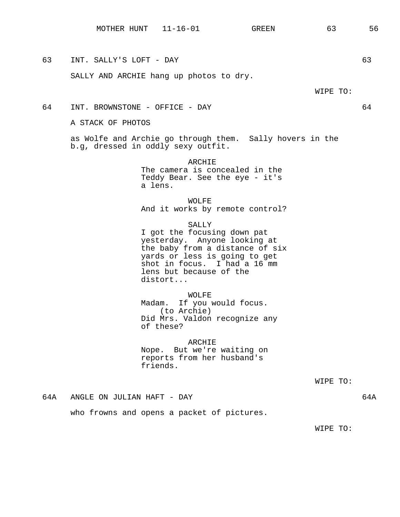63 INT. SALLY'S LOFT - DAY 63

SALLY AND ARCHIE hang up photos to dry.

WIPE TO:

64 INT. BROWNSTONE - OFFICE - DAY 64

A STACK OF PHOTOS

as Wolfe and Archie go through them. Sally hovers in the b.g, dressed in oddly sexy outfit.

> ARCHIE The camera is concealed in the Teddy Bear. See the eye - it's a lens.

WOLFE And it works by remote control?

SALLY I got the focusing down pat yesterday. Anyone looking at the baby from a distance of six yards or less is going to get shot in focus. I had a 16 mm lens but because of the distort...

WOLFE Madam. If you would focus. (to Archie) Did Mrs. Valdon recognize any of these?

ARCHIE Nope. But we're waiting on reports from her husband's friends.

WIPE TO:

64A ANGLE ON JULIAN HAFT - DAY 64A

who frowns and opens a packet of pictures.

WIPE TO: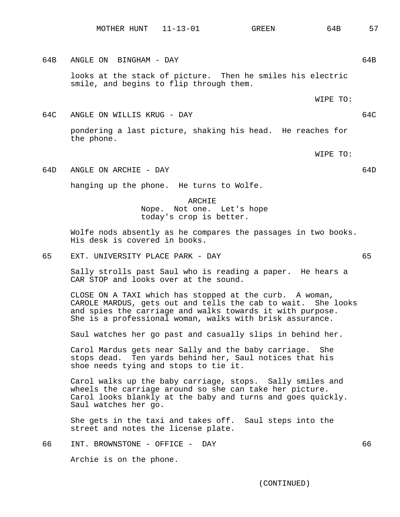64B ANGLE ON BINGHAM - DAY 64B looks at the stack of picture. Then he smiles his electric smile, and begins to flip through them.

WIPE TO:

64C ANGLE ON WILLIS KRUG - DAY 64C pondering a last picture, shaking his head. He reaches for the phone.

WIPE TO:

64D ANGLE ON ARCHIE - DAY 64D

hanging up the phone. He turns to Wolfe.

ARCHIE Nope. Not one. Let's hope today's crop is better.

Wolfe nods absently as he compares the passages in two books. His desk is covered in books.

65 EXT. UNIVERSITY PLACE PARK - DAY 65

Sally strolls past Saul who is reading a paper. He hears a CAR STOP and looks over at the sound.

CLOSE ON A TAXI which has stopped at the curb. A woman, CAROLE MARDUS, gets out and tells the cab to wait. She looks and spies the carriage and walks towards it with purpose. She is a professional woman, walks with brisk assurance.

Saul watches her go past and casually slips in behind her.

Carol Mardus gets near Sally and the baby carriage. She stops dead. Ten yards behind her, Saul notices that his shoe needs tying and stops to tie it.

Carol walks up the baby carriage, stops. Sally smiles and wheels the carriage around so she can take her picture. Carol looks blankly at the baby and turns and goes quickly. Saul watches her go.

She gets in the taxi and takes off. Saul steps into the street and notes the license plate.

66 INT. BROWNSTONE - OFFICE - DAY 66

Archie is on the phone.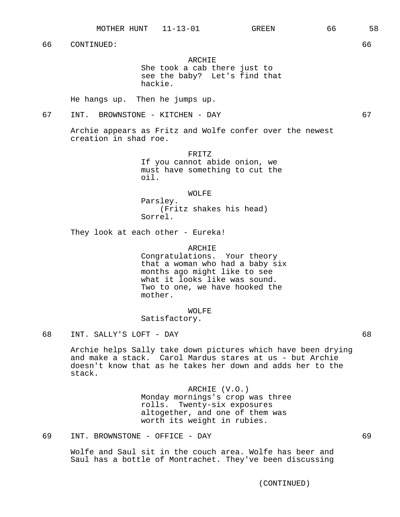ARCHIE She took a cab there just to see the baby? Let's find that hackie.

He hangs up. Then he jumps up.

67 INT. BROWNSTONE - KITCHEN - DAY 67

Archie appears as Fritz and Wolfe confer over the newest creation in shad roe.

> FRITZ If you cannot abide onion, we must have something to cut the oil.

> > WOLFE

Parsley. (Fritz shakes his head) Sorrel.

They look at each other - Eureka!

ARCHIE

Congratulations. Your theory that a woman who had a baby six months ago might like to see what it looks like was sound. Two to one, we have hooked the mother.

WOLFE

Satisfactory.

Archie helps Sally take down pictures which have been drying and make a stack. Carol Mardus stares at us - but Archie doesn't know that as he takes her down and adds her to the stack.

> ARCHIE (V.O.) Monday mornings's crop was three rolls. Twenty-six exposures altogether, and one of them was worth its weight in rubies.

69 INT. BROWNSTONE - OFFICE - DAY 69

Wolfe and Saul sit in the couch area. Wolfe has beer and Saul has a bottle of Montrachet. They've been discussing

<sup>68</sup> INT. SALLY'S LOFT - DAY 68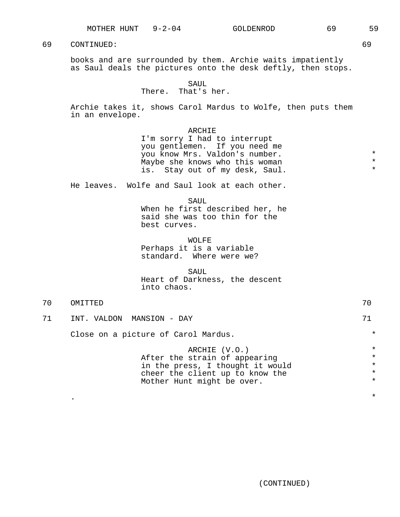books and are surrounded by them. Archie waits impatiently as Saul deals the pictures onto the desk deftly, then stops.

#### SAUL

## There. That's her.

Archie takes it, shows Carol Mardus to Wolfe, then puts them in an envelope.

#### ARCHIE

I'm sorry I had to interrupt you gentlemen. If you need me you know Mrs. Valdon's number. \* Maybe she knows who this woman is. Stay out of my desk, Saul.

He leaves. Wolfe and Saul look at each other.

SAUL When he first described her, he

said she was too thin for the best curves.

WOLFE Perhaps it is a variable standard. Where were we?

SAUL Heart of Darkness, the descent into chaos.

70 OMITTED 70 71 INT. VALDON MANSION - DAY 71 Close on a picture of Carol Mardus.  $*$ 

. The contract of the contract of the contract of the contract of the contract of the contract of the contract of the contract of the contract of the contract of the contract of the contract of the contract of the contrac

ARCHIE (V.O.) \* After the strain of appearing  $*$ <br>in the press I thought it would  $*$ in the press, I thought it would  $*$ <br>cheer the client up to know the  $*$ cheer the client up to know the \* Mother Hunt might be over.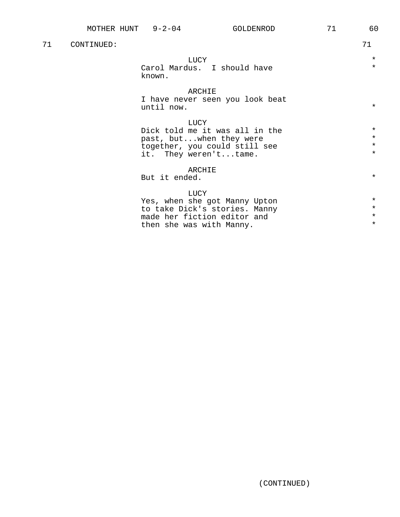| 71 | CONTINUED: |                                                                                                                                   | 71                                       |
|----|------------|-----------------------------------------------------------------------------------------------------------------------------------|------------------------------------------|
|    |            | <b>LUCY</b><br>Carol Mardus. I should have<br>known.                                                                              | $\star$<br>$\star$                       |
|    |            | ARCHIE<br>I have never seen you look beat<br>until now.                                                                           | $\star$                                  |
|    |            | LUCY<br>Dick told me it was all in the<br>past, butwhen they were<br>together, you could still see<br>it. They weren'ttame.       | $\star$<br>$\star$<br>$\star$<br>$\star$ |
|    |            | ARCHIE<br>But it ended.                                                                                                           | $\star$                                  |
|    |            | LUCY<br>Yes, when she got Manny Upton<br>to take Dick's stories. Manny<br>made her fiction editor and<br>then she was with Manny. | $\star$<br>$\star$<br>$\star$<br>$\star$ |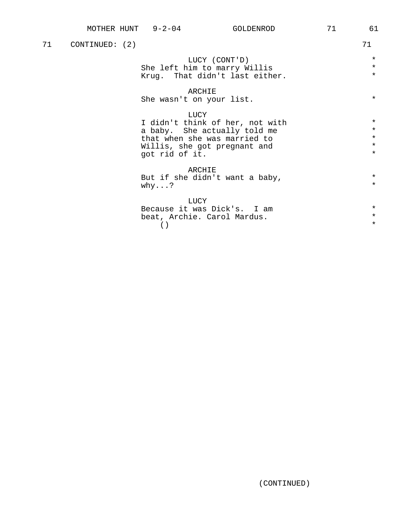| 71 | CONTINUED: (2) |                                                                                                                                                           | 71                                                  |
|----|----------------|-----------------------------------------------------------------------------------------------------------------------------------------------------------|-----------------------------------------------------|
|    |                | LUCY (CONT'D)<br>She left him to marry Willis<br>Krug. That didn't last either.                                                                           | $\star$<br>$\star$<br>$\star$                       |
|    |                | ARCHIE<br>She wasn't on your list.                                                                                                                        | $\star$                                             |
|    |                | LUCY<br>I didn't think of her, not with<br>a baby. She actually told me<br>that when she was married to<br>Willis, she got pregnant and<br>got rid of it. | $\star$<br>$\star$<br>$\star$<br>$\star$<br>$\star$ |
|    |                | ARCHIE<br>But if she didn't want a baby,<br>why?                                                                                                          | $\star$<br>$\star$                                  |
|    |                | LUCY<br>Because it was Dick's. I am<br>beat, Archie. Carol Mardus.                                                                                        | $\star$<br>$\star$                                  |

 $\begin{array}{ccc} \hline \hline \hline \hline \end{array}$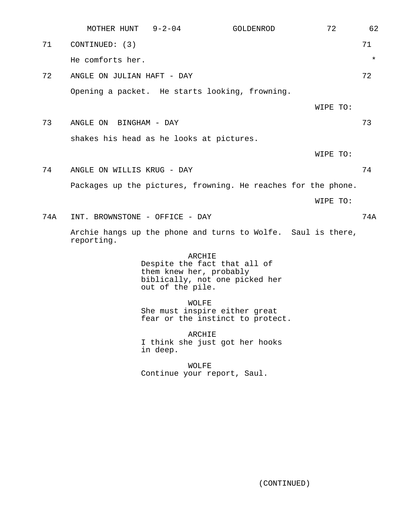|     | MOTHER HUNT                              | $9 - 2 - 04$                                | GOLDENROD                                                                | 72       | 62      |
|-----|------------------------------------------|---------------------------------------------|--------------------------------------------------------------------------|----------|---------|
| 71  | CONTINUED: (3)                           |                                             |                                                                          |          | 71      |
|     | He comforts her.                         |                                             |                                                                          |          | $\star$ |
| 72  | ANGLE ON JULIAN HAFT - DAY               |                                             |                                                                          |          | 72      |
|     |                                          |                                             | Opening a packet. He starts looking, frowning.                           |          |         |
|     |                                          |                                             |                                                                          | WIPE TO: |         |
| 73  | ANGLE ON BINGHAM - DAY                   |                                             |                                                                          |          | 73      |
|     | shakes his head as he looks at pictures. |                                             |                                                                          |          |         |
|     |                                          |                                             |                                                                          | WIPE TO: |         |
| 74  | ANGLE ON WILLIS KRUG - DAY               |                                             |                                                                          |          | 74      |
|     |                                          |                                             | Packages up the pictures, frowning. He reaches for the phone.            |          |         |
|     |                                          |                                             |                                                                          | WIPE TO: |         |
| 74A | INT. BROWNSTONE - OFFICE - DAY           |                                             |                                                                          |          | 74A     |
|     | reporting.                               |                                             | Archie hangs up the phone and turns to Wolfe. Saul is there,             |          |         |
|     |                                          | them knew her, probably<br>out of the pile. | ARCHIE<br>Despite the fact that all of<br>biblically, not one picked her |          |         |
|     |                                          | <b>WOLFE</b>                                | She must inspire either great<br>fear or the instinct to protect.        |          |         |
|     |                                          | in deep.                                    | ARCHIE<br>I think she just got her hooks                                 |          |         |
|     |                                          | <b>WOLFE</b>                                | Continue your report, Saul.                                              |          |         |
|     |                                          |                                             |                                                                          |          |         |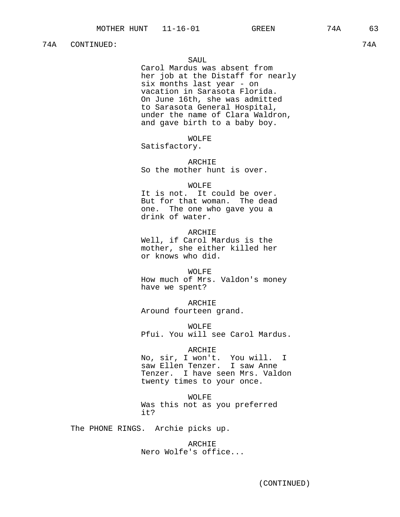## 74A CONTINUED: 74A

## SAUL

Carol Mardus was absent from her job at the Distaff for nearly six months last year - on vacation in Sarasota Florida. On June 16th, she was admitted to Sarasota General Hospital, under the name of Clara Waldron, and gave birth to a baby boy.

WOLFE

Satisfactory.

ARCHIE So the mother hunt is over.

#### WOLFE

It is not. It could be over. But for that woman. The dead one. The one who gave you a drink of water.

ARCHIE Well, if Carol Mardus is the mother, she either killed her or knows who did.

WOLFE How much of Mrs. Valdon's money have we spent?

ARCHIE Around fourteen grand.

WOLFE Pfui. You will see Carol Mardus.

## ARCHIE

No, sir, I won't. You will. I saw Ellen Tenzer. I saw Anne Tenzer. I have seen Mrs. Valdon twenty times to your once.

WOLFE Was this not as you preferred it?

The PHONE RINGS. Archie picks up.

ARCHIE Nero Wolfe's office...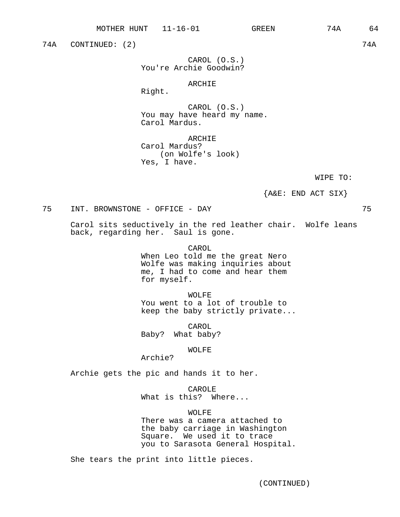74A CONTINUED: (2) 74A

CAROL (O.S.) You're Archie Goodwin?

## ARCHIE

Right.

CAROL (O.S.) You may have heard my name. Carol Mardus.

ARCHIE Carol Mardus? (on Wolfe's look) Yes, I have.

WIPE TO:

 ${A&E: END ACT SLX}$ 

75 INT. BROWNSTONE - OFFICE - DAY 75

Carol sits seductively in the red leather chair. Wolfe leans back, regarding her. Saul is gone.

CAROL

When Leo told me the great Nero Wolfe was making inquiries about me, I had to come and hear them for myself.

WOLFE You went to a lot of trouble to keep the baby strictly private...

CAROL Baby? What baby?

WOLFE

Archie?

Archie gets the pic and hands it to her.

CAROLE What is this? Where...

WOLFE

There was a camera attached to the baby carriage in Washington Square. We used it to trace you to Sarasota General Hospital.

She tears the print into little pieces.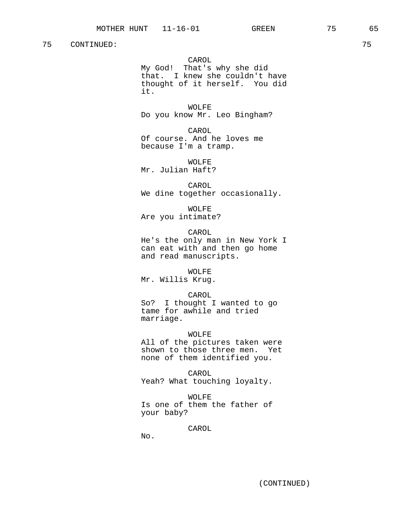CAROL

My God! That's why she did that. I knew she couldn't have thought of it herself. You did it.

WOLFE Do you know Mr. Leo Bingham?

CAROL Of course. And he loves me because I'm a tramp.

WOLFE Mr. Julian Haft?

CAROL We dine together occasionally.

WOLFE Are you intimate?

CAROL He's the only man in New York I can eat with and then go home and read manuscripts.

WOLFE Mr. Willis Krug.

CAROL So? I thought I wanted to go tame for awhile and tried marriage.

WOLFE All of the pictures taken were shown to those three men. Yet none of them identified you.

CAROL Yeah? What touching loyalty.

WOLFE Is one of them the father of your baby?

CAROL

No.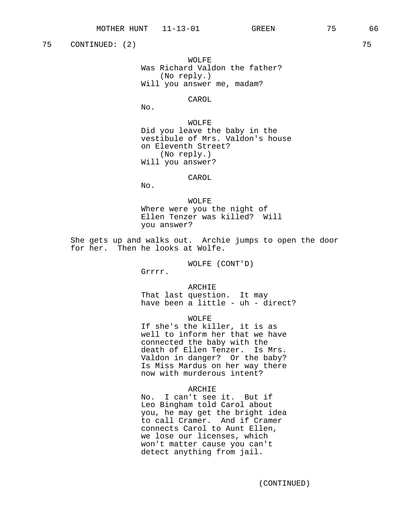75 CONTINUED: (2) 75

WOLFE Was Richard Valdon the father? (No reply.) Will you answer me, madam?

CAROL

No.

WOLFE Did you leave the baby in the vestibule of Mrs. Valdon's house on Eleventh Street? (No reply.) Will you answer?

#### CAROL

No.

WOLFE Where were you the night of Ellen Tenzer was killed? Will you answer?

She gets up and walks out. Archie jumps to open the door for her. Then he looks at Wolfe.

WOLFE (CONT'D)

Grrrr.

ARCHIE That last question. It may have been a little - uh - direct?

WOLFE

If she's the killer, it is as well to inform her that we have connected the baby with the death of Ellen Tenzer. Is Mrs. Valdon in danger? Or the baby? Is Miss Mardus on her way there now with murderous intent?

#### ARCHIE

No. I can't see it. But if Leo Bingham told Carol about you, he may get the bright idea to call Cramer. And if Cramer connects Carol to Aunt Ellen, we lose our licenses, which won't matter cause you can't detect anything from jail.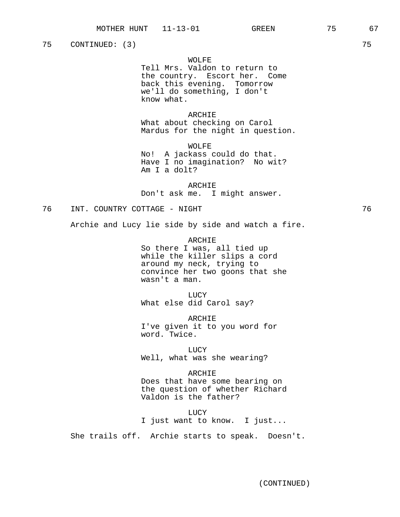75 CONTINUED: (3) 75

## WOLFE

Tell Mrs. Valdon to return to the country. Escort her. Come back this evening. Tomorrow we'll do something, I don't know what.

#### ARCHIE

What about checking on Carol Mardus for the night in question.

WOLFE No! A jackass could do that. Have I no imagination? No wit? Am I a dolt?

ARCHIE Don't ask me. I might answer.

76 INT. COUNTRY COTTAGE - NIGHT 76

Archie and Lucy lie side by side and watch a fire.

ARCHIE So there I was, all tied up while the killer slips a cord around my neck, trying to convince her two goons that she wasn't a man.

LUCY What else did Carol say?

ARCHIE I've given it to you word for word. Twice.

LUCY

Well, what was she wearing?

#### ARCHIE

Does that have some bearing on the question of whether Richard Valdon is the father?

LUCY I just want to know. I just...

She trails off. Archie starts to speak. Doesn't.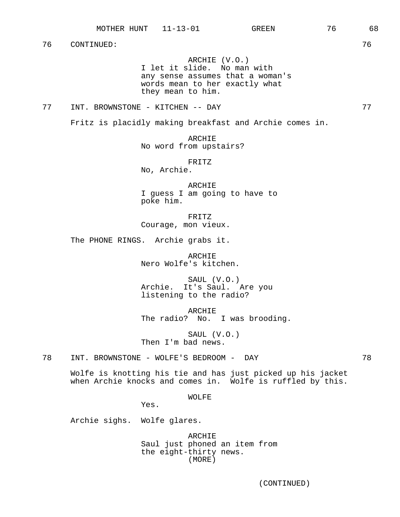ARCHIE (V.O.)

I let it slide. No man with any sense assumes that a woman's words mean to her exactly what they mean to him.

77 INT. BROWNSTONE - KITCHEN -- DAY 77

Fritz is placidly making breakfast and Archie comes in.

ARCHIE No word from upstairs?

FRITZ

No, Archie.

ARCHIE I guess I am going to have to poke him.

FRITZ Courage, mon vieux.

The PHONE RINGS. Archie grabs it.

ARCHIE Nero Wolfe's kitchen.

SAUL (V.O.) Archie. It's Saul. Are you listening to the radio?

ARCHIE The radio? No. I was brooding.

SAUL (V.O.) Then I'm bad news.

78 INT. BROWNSTONE - WOLFE'S BEDROOM - DAY 78

Wolfe is knotting his tie and has just picked up his jacket when Archie knocks and comes in. Wolfe is ruffled by this.

WOLFE

Yes.

Archie sighs. Wolfe glares.

ARCHIE Saul just phoned an item from the eight-thirty news. (MORE)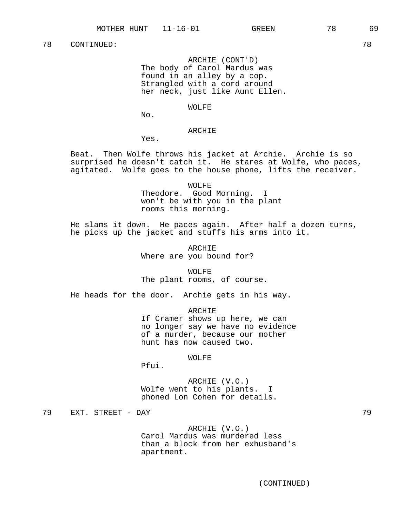ARCHIE (CONT'D) The body of Carol Mardus was found in an alley by a cop. Strangled with a cord around her neck, just like Aunt Ellen.

# WOLFE

No.

## ARCHIE

Yes.

Beat. Then Wolfe throws his jacket at Archie. Archie is so surprised he doesn't catch it. He stares at Wolfe, who paces, agitated. Wolfe goes to the house phone, lifts the receiver.

> WOLFE Theodore. Good Morning. I won't be with you in the plant rooms this morning.

He slams it down. He paces again. After half a dozen turns, he picks up the jacket and stuffs his arms into it.

> ARCHIE Where are you bound for?

WOLFE The plant rooms, of course.

He heads for the door. Archie gets in his way.

ARCHIE If Cramer shows up here, we can no longer say we have no evidence of a murder, because our mother hunt has now caused two.

#### WOLFE

Pfui.

ARCHIE (V.O.) Wolfe went to his plants. I phoned Lon Cohen for details.

79 EXT. STREET - DAY 79

ARCHIE (V.O.) Carol Mardus was murdered less than a block from her exhusband's apartment.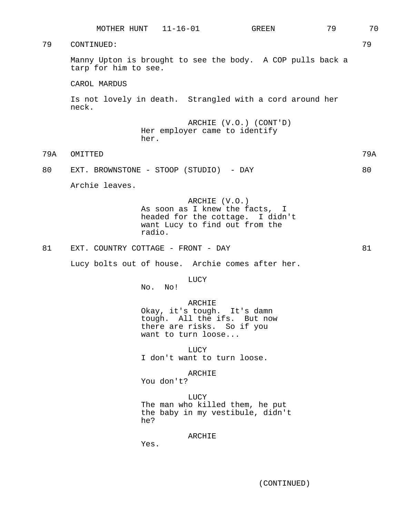|     |                                        | MOTHER HUNT 11-16-01                                                                                                     | GREEN                                                      | 79 | 70  |
|-----|----------------------------------------|--------------------------------------------------------------------------------------------------------------------------|------------------------------------------------------------|----|-----|
| 79  | CONTINUED:                             |                                                                                                                          |                                                            |    | 79  |
|     | tarp for him to see.                   |                                                                                                                          | Manny Upton is brought to see the body. A COP pulls back a |    |     |
|     | CAROL MARDUS                           |                                                                                                                          |                                                            |    |     |
|     | neck.                                  |                                                                                                                          | Is not lovely in death. Strangled with a cord around her   |    |     |
|     |                                        | Her employer came to identify<br>her.                                                                                    | ARCHIE (V.O.) (CONT'D)                                     |    |     |
| 79A | OMITTED                                |                                                                                                                          |                                                            |    | 79A |
| 80  | EXT. BROWNSTONE - STOOP (STUDIO) - DAY |                                                                                                                          |                                                            |    | 80  |
|     | Archie leaves.                         |                                                                                                                          |                                                            |    |     |
|     |                                        | ARCHIE (V.O.)<br>As soon as I knew the facts, I<br>want Lucy to find out from the<br>radio.                              | headed for the cottage. I didn't                           |    |     |
| 81  | EXT. COUNTRY COTTAGE - FRONT - DAY     |                                                                                                                          |                                                            |    | 81  |
|     |                                        |                                                                                                                          | Lucy bolts out of house. Archie comes after her.           |    |     |
|     |                                        | <b>LUCY</b><br>No.<br>No !                                                                                               |                                                            |    |     |
|     |                                        | ARCHIE<br>Okay, it's tough. It's damn<br>tough. All the ifs. But now<br>there are risks. So if you<br>want to turn loose |                                                            |    |     |
|     |                                        | LUCY<br>I don't want to turn loose.                                                                                      |                                                            |    |     |
|     |                                        | ARCHIE<br>You don't?                                                                                                     |                                                            |    |     |
|     |                                        | LUCY<br>The man who killed them, he put<br>he?                                                                           | the baby in my vestibule, didn't                           |    |     |
|     |                                        | ARCHIE<br>Yes.                                                                                                           |                                                            |    |     |
|     |                                        |                                                                                                                          |                                                            |    |     |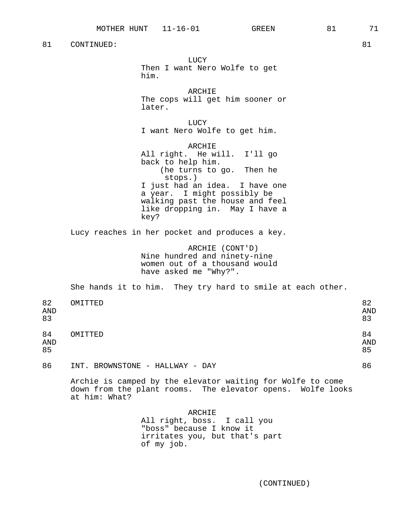him.

later.

ARCHIE All right. He will. I'll go back to help him. (he turns to go. Then he stops.) I just had an idea. I have one a year. I might possibly be walking past the house and feel like dropping in. May I have a key? Lucy reaches in her pocket and produces a key. ARCHIE (CONT'D)

LUCY

ARCHIE

LUCY

Then I want Nero Wolfe to get

The cops will get him sooner or

I want Nero Wolfe to get him.

Nine hundred and ninety-nine women out of a thousand would have asked me "Why?".

She hands it to him. They try hard to smile at each other.

| 82<br><b>AND</b><br>83 | OMITTED                   |                               | 82<br><b>AND</b><br>83 |
|------------------------|---------------------------|-------------------------------|------------------------|
| 84<br><b>AND</b><br>85 | OMITTED                   |                               | 84<br><b>AND</b><br>85 |
| $\sim$                 | T2T<br><b>DDALBIODAID</b> | TTR T T T.TR TT<br>$\sqrt{2}$ | $\sim$                 |

86 INT. BROWNSTONE - HALLWAY - DAY 86

Archie is camped by the elevator waiting for Wolfe to come down from the plant rooms. The elevator opens. Wolfe looks at him: What?

> ARCHIE All right, boss. I call you "boss" because I know it irritates you, but that's part of my job.

- -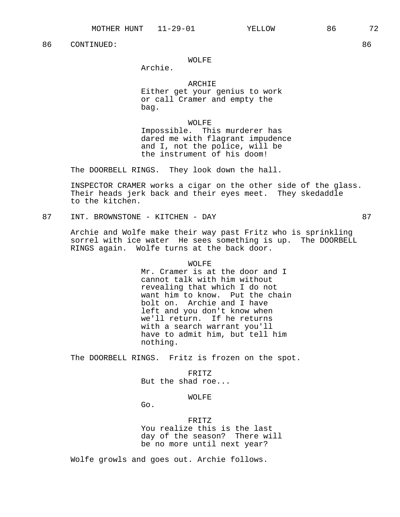## WOLFE

Archie.

## ARCHIE Either get your genius to work or call Cramer and empty the bag.

WOLFE Impossible. This murderer has dared me with flagrant impudence and I, not the police, will be the instrument of his doom!

The DOORBELL RINGS. They look down the hall.

INSPECTOR CRAMER works a cigar on the other side of the glass. Their heads jerk back and their eyes meet. They skedaddle to the kitchen.

87 INT. BROWNSTONE - KITCHEN - DAY 87

Archie and Wolfe make their way past Fritz who is sprinkling sorrel with ice water He sees something is up. The DOORBELL RINGS again. Wolfe turns at the back door.

#### WOLFF.

Mr. Cramer is at the door and I cannot talk with him without revealing that which I do not want him to know. Put the chain bolt on. Archie and I have left and you don't know when we'll return. If he returns with a search warrant you'll have to admit him, but tell him nothing.

The DOORBELL RINGS. Fritz is frozen on the spot.

## FRITZ But the shad roe...

## WOLFE

Go.

FRITZ You realize this is the last day of the season? There will be no more until next year?

Wolfe growls and goes out. Archie follows.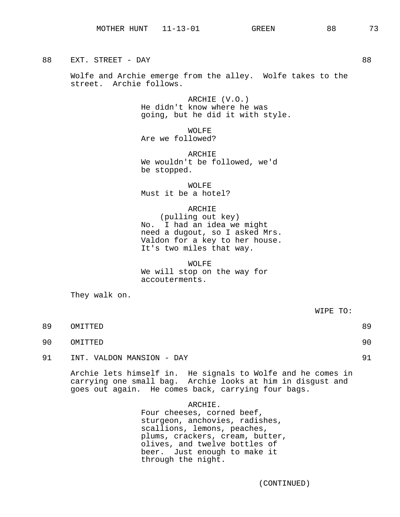88 EXT. STREET - DAY 88

Wolfe and Archie emerge from the alley. Wolfe takes to the street. Archie follows.

> ARCHIE (V.O.) He didn't know where he was going, but he did it with style.

WOLFE Are we followed?

ARCHIE We wouldn't be followed, we'd be stopped.

WOLFE Must it be a hotel?

ARCHIE (pulling out key) No. I had an idea we might need a dugout, so I asked Mrs. Valdon for a key to her house. It's two miles that way.

WOLFE

We will stop on the way for accouterments.

They walk on.

89 OMITTED 89

- 90 OMITTED 90
- 91 INT. VALDON MANSION DAY 91

Archie lets himself in. He signals to Wolfe and he comes in carrying one small bag. Archie looks at him in disgust and goes out again. He comes back, carrying four bags.

> ARCHIE. Four cheeses, corned beef, sturgeon, anchovies, radishes, scallions, lemons, peaches, plums, crackers, cream, butter, olives, and twelve bottles of beer. Just enough to make it through the night.

> > (CONTINUED)

WIPE TO: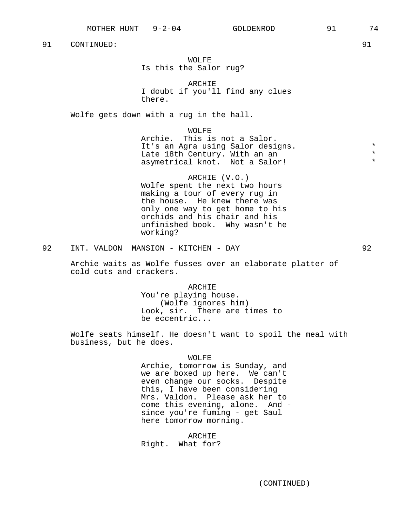# WOLFE Is this the Salor rug?

ARCHIE I doubt if you'll find any clues there.

Wolfe gets down with a rug in the hall.

### WOLFE

Archie. This is not a Salor. It's an Agra using Salor designs.<br>Iate 18th Century With an an \* \* \* \* \* Late 18th Century. With an an asymetrical knot. Not a Salor!

ARCHIE (V.O.) Wolfe spent the next two hours making a tour of every rug in the house. He knew there was only one way to get home to his orchids and his chair and his unfinished book. Why wasn't he working?

92 INT. VALDON MANSION - KITCHEN - DAY 92

Archie waits as Wolfe fusses over an elaborate platter of cold cuts and crackers.

> ARCHIE You're playing house. (Wolfe ignores him) Look, sir. There are times to be eccentric...

Wolfe seats himself. He doesn't want to spoil the meal with business, but he does.

### WOLFE

Archie, tomorrow is Sunday, and we are boxed up here. We can't even change our socks. Despite this, I have been considering Mrs. Valdon. Please ask her to come this evening, alone. And since you're fuming - get Saul here tomorrow morning.

### ARCHIE

Right. What for?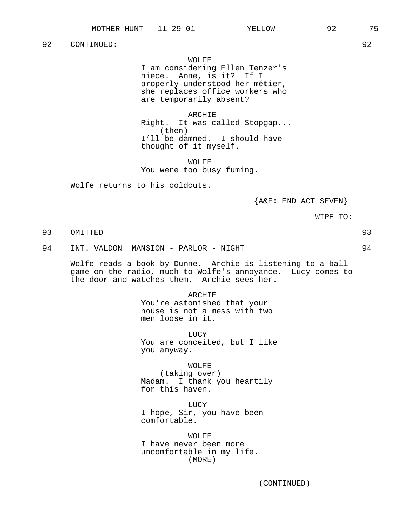## WOLFE

I am considering Ellen Tenzer's niece. Anne, is it? If I properly understood her métier, she replaces office workers who are temporarily absent?

### ARCHIE

Right. It was called Stopgap... (then) I'll be damned. I should have thought of it myself.

WOLFE You were too busy fuming.

Wolfe returns to his coldcuts.

 ${A\&E: END ACT SEVEN}$ 

WIPE TO:

# 93 OMITTED 93

94 INT. VALDON MANSION - PARLOR - NIGHT 94

Wolfe reads a book by Dunne. Archie is listening to a ball game on the radio, much to Wolfe's annoyance. Lucy comes to the door and watches them. Archie sees her.

> ARCHIE You're astonished that your house is not a mess with two men loose in it.

**LUCY** You are conceited, but I like you anyway.

WOLFE (taking over) Madam. I thank you heartily for this haven.

LUCY I hope, Sir, you have been comfortable.

WOLFE I have never been more uncomfortable in my life. (MORE)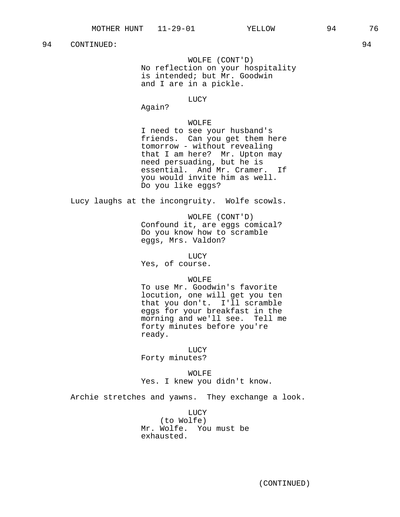WOLFE (CONT'D) No reflection on your hospitality is intended; but Mr. Goodwin and I are in a pickle.

### LUCY

Again?

## WOLFE

I need to see your husband's friends. Can you get them here tomorrow - without revealing that I am here? Mr. Upton may need persuading, but he is essential. And Mr. Cramer. If you would invite him as well. Do you like eggs?

Lucy laughs at the incongruity. Wolfe scowls.

WOLFE (CONT'D) Confound it, are eggs comical? Do you know how to scramble eggs, Mrs. Valdon?

LUCY

Yes, of course.

# WOLFE

To use Mr. Goodwin's favorite locution, one will get you ten that you don't. I'll scramble eggs for your breakfast in the morning and we'll see. Tell me forty minutes before you're ready.

LUCY

Forty minutes?

WOLFE Yes. I knew you didn't know.

Archie stretches and yawns. They exchange a look.

LUCY (to Wolfe) Mr. Wolfe. You must be exhausted.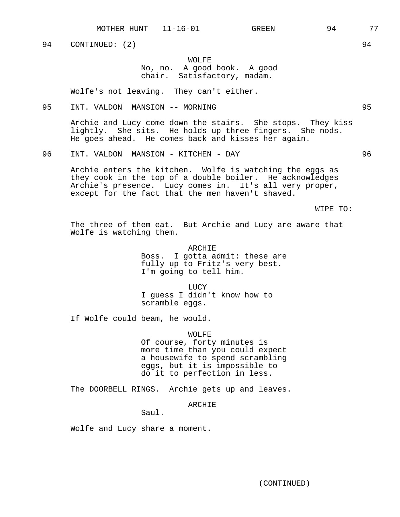94 CONTINUED: (2) 94

## WOLFE No, no. A good book. A good chair. Satisfactory, madam.

Wolfe's not leaving. They can't either.

95 INT. VALDON MANSION -- MORNING 95

Archie and Lucy come down the stairs. She stops. They kiss lightly. She sits. He holds up three fingers. She nods. He goes ahead. He comes back and kisses her again.

96 INT. VALDON MANSION - KITCHEN - DAY 96

Archie enters the kitchen. Wolfe is watching the eggs as they cook in the top of a double boiler. He acknowledges Archie's presence. Lucy comes in. It's all very proper, except for the fact that the men haven't shaved.

WIPE TO:

The three of them eat. But Archie and Lucy are aware that Wolfe is watching them.

> ARCHIE Boss. I gotta admit: these are fully up to Fritz's very best. I'm going to tell him.

LUCY I guess I didn't know how to scramble eggs.

If Wolfe could beam, he would.

WOLFE Of course, forty minutes is more time than you could expect a housewife to spend scrambling eggs, but it is impossible to do it to perfection in less.

The DOORBELL RINGS. Archie gets up and leaves.

ARCHIE

Saul.

Wolfe and Lucy share a moment.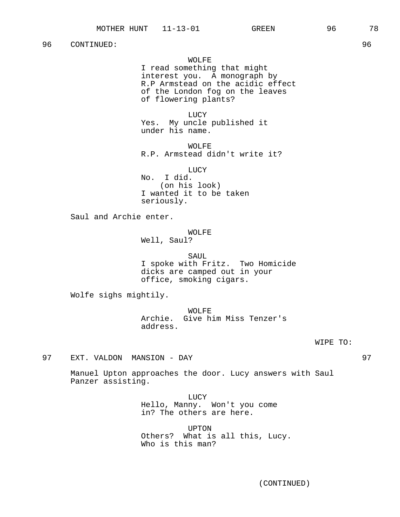## WOLFE

I read something that might interest you. A monograph by R.P Armstead on the acidic effect of the London fog on the leaves of flowering plants?

LUCY Yes. My uncle published it under his name.

WOLFE R.P. Armstead didn't write it?

LUCY

No. I did. (on his look) I wanted it to be taken seriously.

Saul and Archie enter.

## WOLFE

Well, Saul?

SAUL I spoke with Fritz. Two Homicide dicks are camped out in your office, smoking cigars.

Wolfe sighs mightily.

WOLFE Archie. Give him Miss Tenzer's address.

WIPE TO:

97 EXT. VALDON MANSION - DAY 97

Manuel Upton approaches the door. Lucy answers with Saul Panzer assisting.

> LUCY Hello, Manny. Won't you come in? The others are here.

UPTON Others? What is all this, Lucy. Who is this man?

(CONTINUED)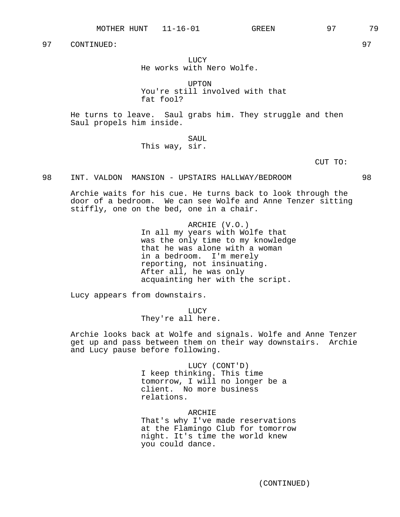LUCY He works with Nero Wolfe.

UPTON You're still involved with that fat fool?

He turns to leave. Saul grabs him. They struggle and then Saul propels him inside.

> SAUL This way, sir.

> > CUT TO:

## 98 INT. VALDON MANSION - UPSTAIRS HALLWAY/BEDROOM 98

Archie waits for his cue. He turns back to look through the door of a bedroom. We can see Wolfe and Anne Tenzer sitting stiffly, one on the bed, one in a chair.

> ARCHIE (V.O.) In all my years with Wolfe that was the only time to my knowledge that he was alone with a woman in a bedroom. I'm merely reporting, not insinuating. After all, he was only acquainting her with the script.

Lucy appears from downstairs.

LUCY They're all here.

Archie looks back at Wolfe and signals. Wolfe and Anne Tenzer get up and pass between them on their way downstairs. Archie and Lucy pause before following.

> LUCY (CONT'D) I keep thinking. This time tomorrow, I will no longer be a client. No more business relations.

ARCHIE That's why I've made reservations at the Flamingo Club for tomorrow night. It's time the world knew you could dance.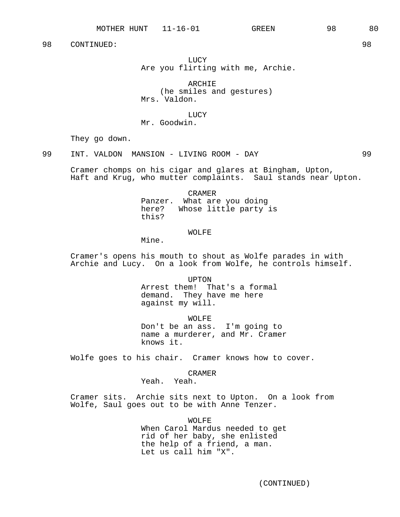**LUCY** Are you flirting with me, Archie.

ARCHIE (he smiles and gestures) Mrs. Valdon.

LUCY

Mr. Goodwin.

They go down.

99 INT. VALDON MANSION - LIVING ROOM - DAY 99

Cramer chomps on his cigar and glares at Bingham, Upton, Haft and Krug, who mutter complaints. Saul stands near Upton.

CRAMER

Panzer. What are you doing here? Whose little party is this?

WOLFE

Mine.

Cramer's opens his mouth to shout as Wolfe parades in with Archie and Lucy. On a look from Wolfe, he controls himself.

UPTON

Arrest them! That's a formal demand. They have me here against my will.

WOLFE

Don't be an ass. I'm going to name a murderer, and Mr. Cramer knows it.

Wolfe goes to his chair. Cramer knows how to cover.

CRAMER

Yeah. Yeah.

Cramer sits. Archie sits next to Upton. On a look from Wolfe, Saul goes out to be with Anne Tenzer.

WOLFE

When Carol Mardus needed to get rid of her baby, she enlisted the help of a friend, a man. Let us call him "X".

(CONTINUED)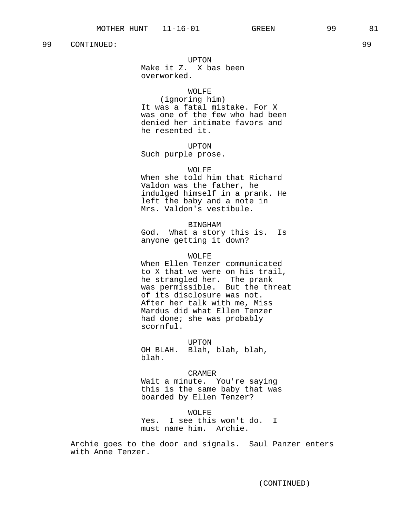### UPTON

Make it Z. X bas been overworked.

### WOLFE

(ignoring him) It was a fatal mistake. For X was one of the few who had been denied her intimate favors and he resented it.

## UPTON

Such purple prose.

#### WOLFE

When she told him that Richard Valdon was the father, he indulged himself in a prank. He left the baby and a note in Mrs. Valdon's vestibule.

### BINGHAM

God. What a story this is. Is anyone getting it down?

#### WOLFE

When Ellen Tenzer communicated to X that we were on his trail, he strangled her. The prank was permissible. But the threat of its disclosure was not. After her talk with me, Miss Mardus did what Ellen Tenzer had done; she was probably scornful.

UPTON OH BLAH. Blah, blah, blah, blah.

#### CRAMER

Wait a minute. You're saying this is the same baby that was boarded by Ellen Tenzer?

WOLFE Yes. I see this won't do. I must name him. Archie.

Archie goes to the door and signals. Saul Panzer enters with Anne Tenzer.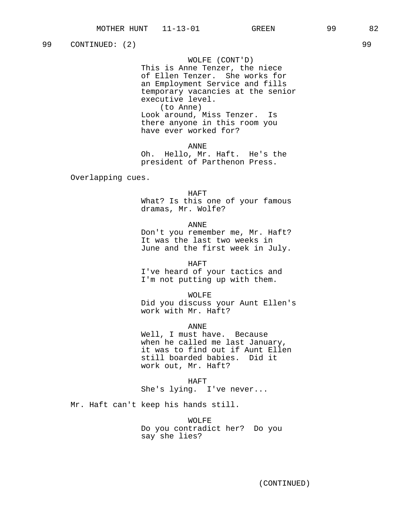99 CONTINUED: (2) 99

WOLFE (CONT'D)

This is Anne Tenzer, the niece of Ellen Tenzer. She works for an Employment Service and fills temporary vacancies at the senior executive level. (to Anne) Look around, Miss Tenzer. Is

there anyone in this room you have ever worked for?

ANNE

Oh. Hello, Mr. Haft. He's the president of Parthenon Press.

Overlapping cues.

#### HAFT

What? Is this one of your famous dramas, Mr. Wolfe?

ANNE

Don't you remember me, Mr. Haft? It was the last two weeks in June and the first week in July.

HAFT

I've heard of your tactics and I'm not putting up with them.

WOLFE

Did you discuss your Aunt Ellen's work with Mr. Haft?

ANNE

Well, I must have. Because when he called me last January, it was to find out if Aunt Ellen still boarded babies. Did it work out, Mr. Haft?

HAFT

She's lying. I've never...

Mr. Haft can't keep his hands still.

WOLFE Do you contradict her? Do you say she lies?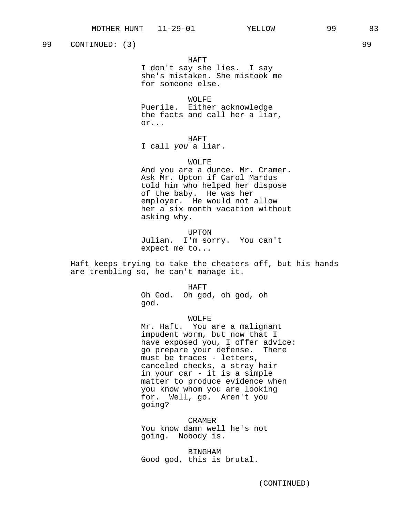(CONTINUED)

99 CONTINUED: (3) 99

HAFT

I don't say she lies. I say she's mistaken. She mistook me for someone else.

WOLFE

Puerile. Either acknowledge the facts and call her a liar, or...

HAFT

I call you a liar.

## WOLFE

And you are a dunce. Mr. Cramer. Ask Mr. Upton if Carol Mardus told him who helped her dispose of the baby. He was her employer. He would not allow her a six month vacation without asking why.

UPTON Julian. I'm sorry. You can't expect me to...

Haft keeps trying to take the cheaters off, but his hands are trembling so, he can't manage it.

HAFT

Oh God. Oh god, oh god, oh god.

WOLFE

Mr. Haft. You are a malignant impudent worm, but now that I have exposed you, I offer advice: go prepare your defense. There must be traces - letters, canceled checks, a stray hair in your car - it is a simple matter to produce evidence when you know whom you are looking for. Well, go. Aren't you going?

CRAMER You know damn well he's not going. Nobody is.

BINGHAM Good god, this is brutal.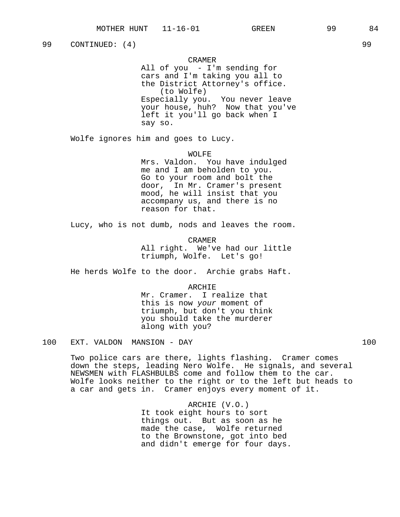99 CONTINUED: (4) 99

## CRAMER

All of you - I'm sending for cars and I'm taking you all to the District Attorney's office. (to Wolfe) Especially you. You never leave your house, huh? Now that you've left it you'll go back when I say so.

Wolfe ignores him and goes to Lucy.

WOLFE

Mrs. Valdon. You have indulged me and I am beholden to you. Go to your room and bolt the door, In Mr. Cramer's present mood, he will insist that you accompany us, and there is no reason for that.

Lucy, who is not dumb, nods and leaves the room.

CRAMER All right. We've had our little triumph, Wolfe. Let's go!

He herds Wolfe to the door. Archie grabs Haft.

ARCHIE

Mr. Cramer. I realize that this is now your moment of triumph, but don't you think you should take the murderer along with you?

100 EXT. VALDON MANSION - DAY 100

Two police cars are there, lights flashing. Cramer comes down the steps, leading Nero Wolfe. He signals, and several NEWSMEN with FLASHBULBS come and follow them to the car. Wolfe looks neither to the right or to the left but heads to a car and gets in. Cramer enjoys every moment of it.

> ARCHIE (V.O.) It took eight hours to sort things out. But as soon as he made the case, Wolfe returned to the Brownstone, got into bed and didn't emerge for four days.